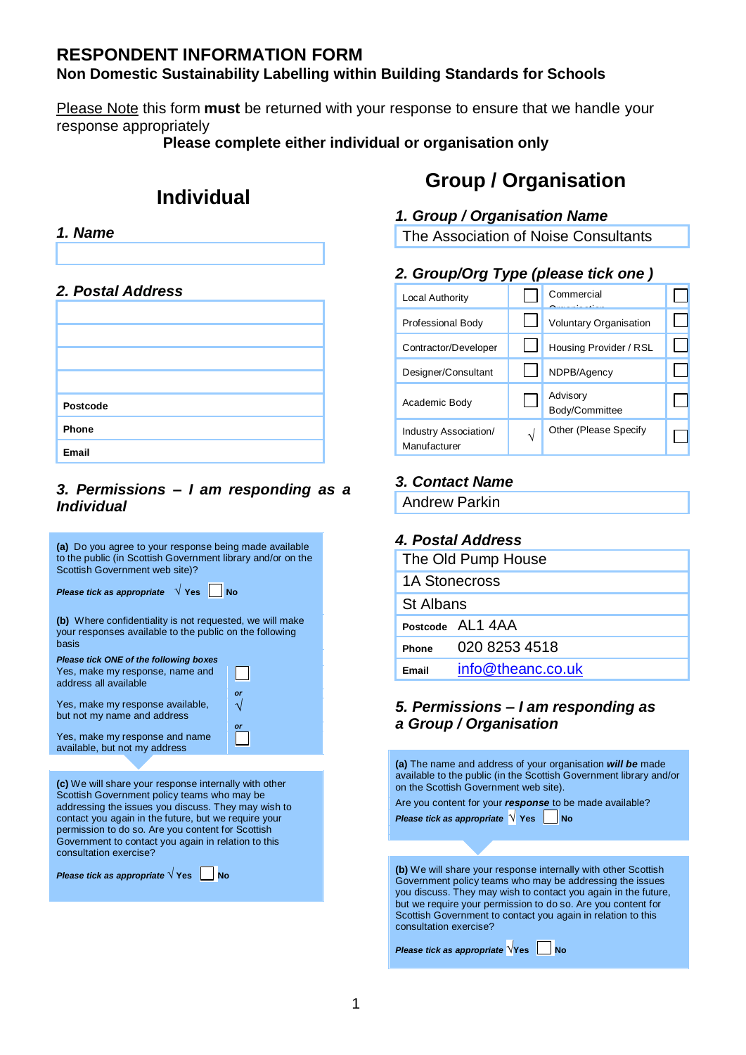# **RESPONDENT INFORMATION FORM Non Domestic Sustainability Labelling within Building Standards for Schools**

Please Note this form **must** be returned with your response to ensure that we handle your response appropriately

**Please complete either individual or organisation only**

# **Individual**



## *2. Postal Address*

| Postcode |  |
|----------|--|
| Phone    |  |
| Email    |  |

#### *3. Permissions – I am responding as a Individual*



addressing the issues you discuss. They may wish to contact you again in the future, but we require your permission to do so. Are you content for Scottish Government to contact you again in relation to this consultation exercise?

*Please tick as appropriate*  $\sqrt{Y}$ es No

# **Group / Organisation**

# *1. Group / Organisation Name*

The Association of Noise Consultants

# *2. Group/Org Type (please tick one )*

| <b>Local Authority</b>                | Commercial                    |  |
|---------------------------------------|-------------------------------|--|
| Professional Body                     | <b>Voluntary Organisation</b> |  |
| Contractor/Developer                  | Housing Provider / RSL        |  |
| Designer/Consultant                   | NDPB/Agency                   |  |
| Academic Body                         | Advisory<br>Body/Committee    |  |
| Industry Association/<br>Manufacturer | Other (Please Specify         |  |

# *3. Contact Name*

Andrew Parkin

# *4. Postal Address*

|                      | The Old Pump House |
|----------------------|--------------------|
| <b>1A Stonecross</b> |                    |
| <b>St Albans</b>     |                    |
|                      | Postcode AI 1 4AA  |
| Phone                | 020 8253 4518      |
| <b>Email</b>         | info@theanc.co.uk  |
|                      |                    |

#### *5. Permissions – I am responding as a Group / Organisation*

**(a)** The name and address of your organisation *will be* made available to the public (in the Scottish Government library and/or on the Scottish Government web site).

Are you content for your *response* to be made available? *Please tick as appropriate*  $\sqrt{\ }$  Yes No

**(b)** We will share your response internally with other Scottish Government policy teams who may be addressing the issues you discuss. They may wish to contact you again in the future, but we require your permission to do so. Are you content for Scottish Government to contact you again in relation to this consultation exercise?

*Please tick as appropriate*  $\sqrt{Y}$ es No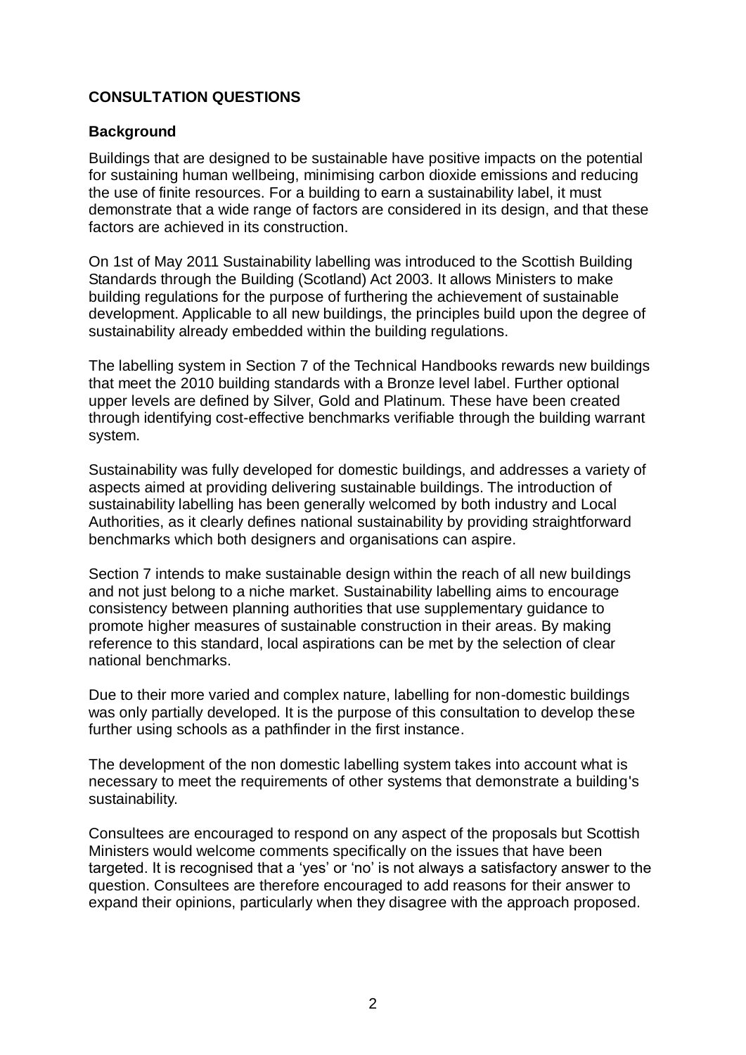# **CONSULTATION QUESTIONS**

### **Background**

Buildings that are designed to be sustainable have positive impacts on the potential for sustaining human wellbeing, minimising carbon dioxide emissions and reducing the use of finite resources. For a building to earn a sustainability label, it must demonstrate that a wide range of factors are considered in its design, and that these factors are achieved in its construction.

On 1st of May 2011 Sustainability labelling was introduced to the Scottish Building Standards through the Building (Scotland) Act 2003. It allows Ministers to make building regulations for the purpose of furthering the achievement of sustainable development. Applicable to all new buildings, the principles build upon the degree of sustainability already embedded within the building regulations.

The labelling system in Section 7 of the Technical Handbooks rewards new buildings that meet the 2010 building standards with a Bronze level label. Further optional upper levels are defined by Silver, Gold and Platinum. These have been created through identifying cost-effective benchmarks verifiable through the building warrant system.

Sustainability was fully developed for domestic buildings, and addresses a variety of aspects aimed at providing delivering sustainable buildings. The introduction of sustainability labelling has been generally welcomed by both industry and Local Authorities, as it clearly defines national sustainability by providing straightforward benchmarks which both designers and organisations can aspire.

Section 7 intends to make sustainable design within the reach of all new buildings and not just belong to a niche market. Sustainability labelling aims to encourage consistency between planning authorities that use supplementary guidance to promote higher measures of sustainable construction in their areas. By making reference to this standard, local aspirations can be met by the selection of clear national benchmarks.

Due to their more varied and complex nature, labelling for non-domestic buildings was only partially developed. It is the purpose of this consultation to develop these further using schools as a pathfinder in the first instance.

The development of the non domestic labelling system takes into account what is necessary to meet the requirements of other systems that demonstrate a building's sustainability.

Consultees are encouraged to respond on any aspect of the proposals but Scottish Ministers would welcome comments specifically on the issues that have been targeted. It is recognised that a 'yes' or 'no' is not always a satisfactory answer to the question. Consultees are therefore encouraged to add reasons for their answer to expand their opinions, particularly when they disagree with the approach proposed.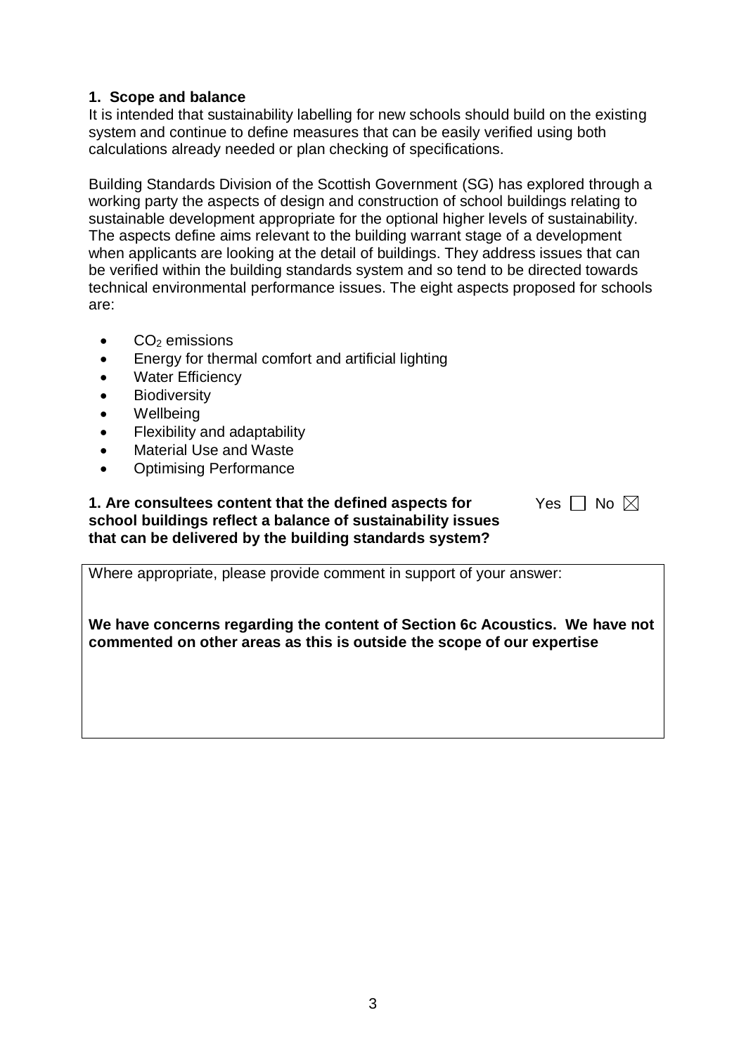# **1. Scope and balance**

It is intended that sustainability labelling for new schools should build on the existing system and continue to define measures that can be easily verified using both calculations already needed or plan checking of specifications.

Building Standards Division of the Scottish Government (SG) has explored through a working party the aspects of design and construction of school buildings relating to sustainable development appropriate for the optional higher levels of sustainability. The aspects define aims relevant to the building warrant stage of a development when applicants are looking at the detail of buildings. They address issues that can be verified within the building standards system and so tend to be directed towards technical environmental performance issues. The eight aspects proposed for schools are:

- $CO<sub>2</sub>$  emissions
- Energy for thermal comfort and artificial lighting
- Water Efficiency
- **Biodiversity**
- Wellbeing
- Flexibility and adaptability
- Material Use and Waste
- Optimising Performance

#### **1. Are consultees content that the defined aspects for school buildings reflect a balance of sustainability issues that can be delivered by the building standards system?**

| es | N٥ | $\boxtimes$ |
|----|----|-------------|
|    |    |             |

Where appropriate, please provide comment in support of your answer:

**We have concerns regarding the content of Section 6c Acoustics. We have not commented on other areas as this is outside the scope of our expertise**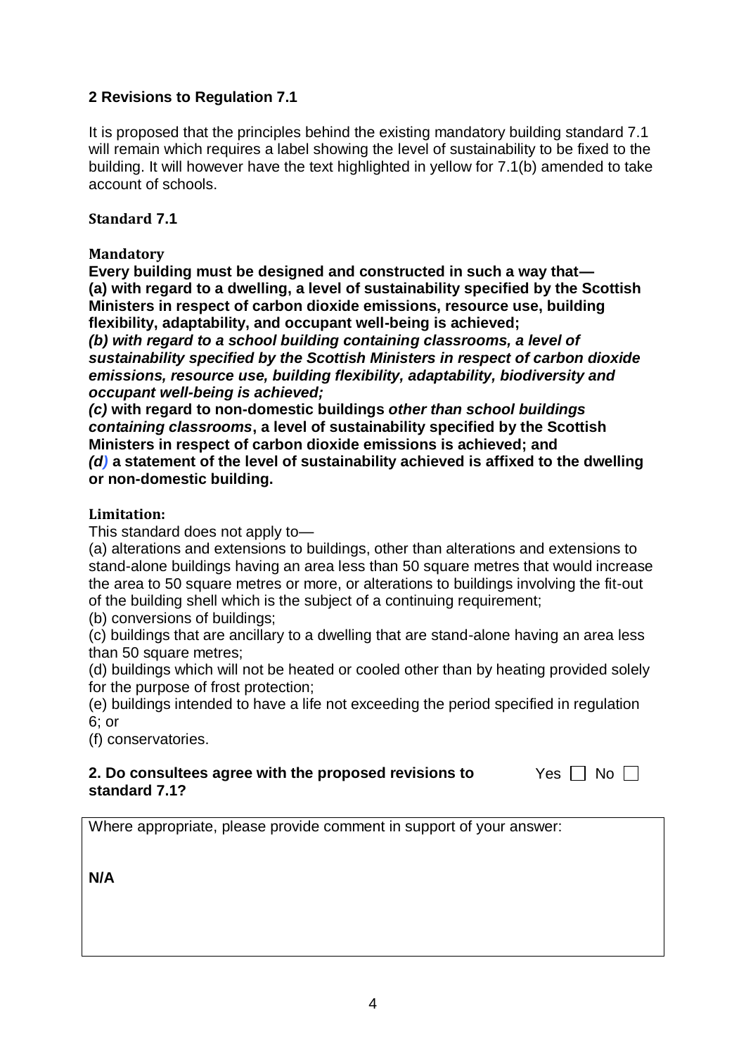# **2 Revisions to Regulation 7.1**

It is proposed that the principles behind the existing mandatory building standard 7.1 will remain which requires a label showing the level of sustainability to be fixed to the building. It will however have the text highlighted in yellow for 7.1(b) amended to take account of schools.

## **Standard 7.1**

## **Mandatory**

**Every building must be designed and constructed in such a way that— (a) with regard to a dwelling, a level of sustainability specified by the Scottish Ministers in respect of carbon dioxide emissions, resource use, building flexibility, adaptability, and occupant well-being is achieved;**

*(b) with regard to a school building containing classrooms, a level of sustainability specified by the Scottish Ministers in respect of carbon dioxide emissions, resource use, building flexibility, adaptability, biodiversity and occupant well-being is achieved;*

*(c)* **with regard to non-domestic buildings** *other than school buildings containing classrooms***, a level of sustainability specified by the Scottish Ministers in respect of carbon dioxide emissions is achieved; and**

*(d)* **a statement of the level of sustainability achieved is affixed to the dwelling or non-domestic building.**

#### **Limitation:**

This standard does not apply to—

(a) alterations and extensions to buildings, other than alterations and extensions to stand-alone buildings having an area less than 50 square metres that would increase the area to 50 square metres or more, or alterations to buildings involving the fit-out of the building shell which is the subject of a continuing requirement;

(b) conversions of buildings;

(c) buildings that are ancillary to a dwelling that are stand-alone having an area less than 50 square metres;

(d) buildings which will not be heated or cooled other than by heating provided solely for the purpose of frost protection;

(e) buildings intended to have a life not exceeding the period specified in regulation  $6:$  or

(f) conservatories.

#### **2. Do consultees agree with the proposed revisions to standard 7.1?**

Yes  $\Box$  No  $\Box$ 

Where appropriate, please provide comment in support of your answer: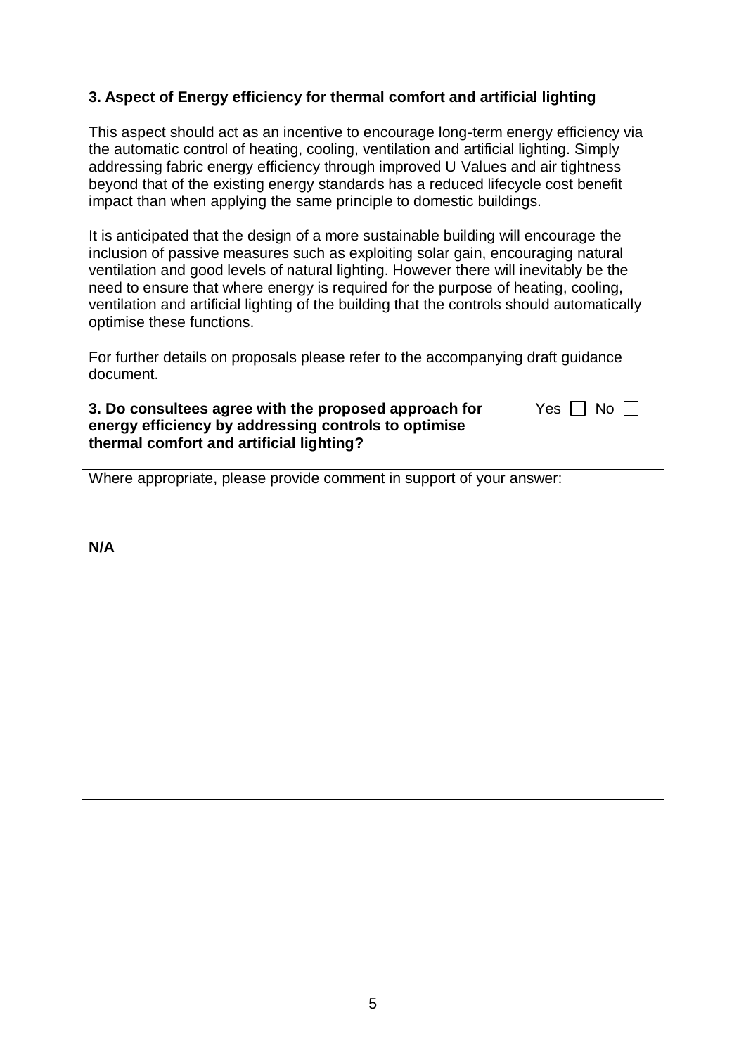# **3. Aspect of Energy efficiency for thermal comfort and artificial lighting**

This aspect should act as an incentive to encourage long-term energy efficiency via the automatic control of heating, cooling, ventilation and artificial lighting. Simply addressing fabric energy efficiency through improved U Values and air tightness beyond that of the existing energy standards has a reduced lifecycle cost benefit impact than when applying the same principle to domestic buildings.

It is anticipated that the design of a more sustainable building will encourage the inclusion of passive measures such as exploiting solar gain, encouraging natural ventilation and good levels of natural lighting. However there will inevitably be the need to ensure that where energy is required for the purpose of heating, cooling, ventilation and artificial lighting of the building that the controls should automatically optimise these functions.

For further details on proposals please refer to the accompanying draft guidance document.

Yes  $\Box$  No  $\Box$ 

#### **3. Do consultees agree with the proposed approach for energy efficiency by addressing controls to optimise thermal comfort and artificial lighting?**

|  |  |  | Where appropriate, please provide comment in support of your answer: |
|--|--|--|----------------------------------------------------------------------|
|  |  |  |                                                                      |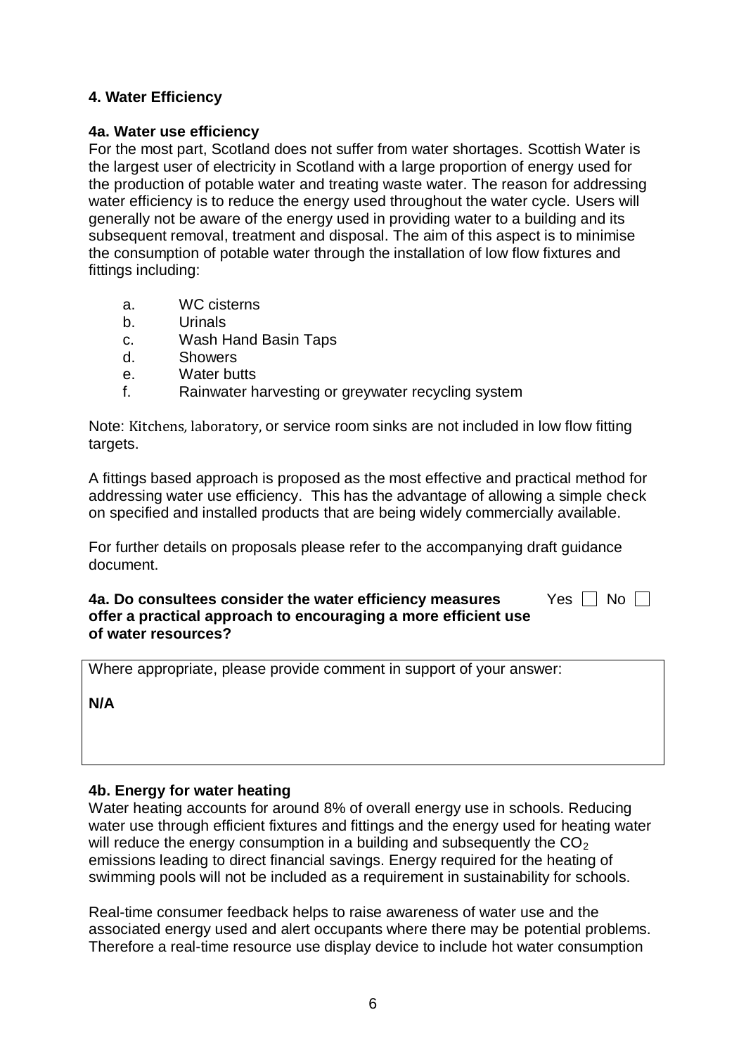# **4. Water Efficiency**

#### **4a. Water use efficiency**

For the most part, Scotland does not suffer from water shortages. Scottish Water is the largest user of electricity in Scotland with a large proportion of energy used for the production of potable water and treating waste water. The reason for addressing water efficiency is to reduce the energy used throughout the water cycle. Users will generally not be aware of the energy used in providing water to a building and its subsequent removal, treatment and disposal. The aim of this aspect is to minimise the consumption of potable water through the installation of low flow fixtures and fittings including:

- a. WC cisterns
- b. Urinals
- c. Wash Hand Basin Taps
- d. Showers
- e. Water butts
- f. Rainwater harvesting or greywater recycling system

Note: Kitchens*,* laboratory, or service room sinks are not included in low flow fitting targets.

A fittings based approach is proposed as the most effective and practical method for addressing water use efficiency. This has the advantage of allowing a simple check on specified and installed products that are being widely commercially available.

For further details on proposals please refer to the accompanying draft guidance document.

#### **4a. Do consultees consider the water efficiency measures offer a practical approach to encouraging a more efficient use of water resources?**  Yes  $\Box$  No  $\Box$

Where appropriate, please provide comment in support of your answer:

**N/A**

#### **4b. Energy for water heating**

Water heating accounts for around 8% of overall energy use in schools. Reducing water use through efficient fixtures and fittings and the energy used for heating water will reduce the energy consumption in a building and subsequently the  $CO<sub>2</sub>$ emissions leading to direct financial savings. Energy required for the heating of swimming pools will not be included as a requirement in sustainability for schools.

Real-time consumer feedback helps to raise awareness of water use and the associated energy used and alert occupants where there may be potential problems. Therefore a real-time resource use display device to include hot water consumption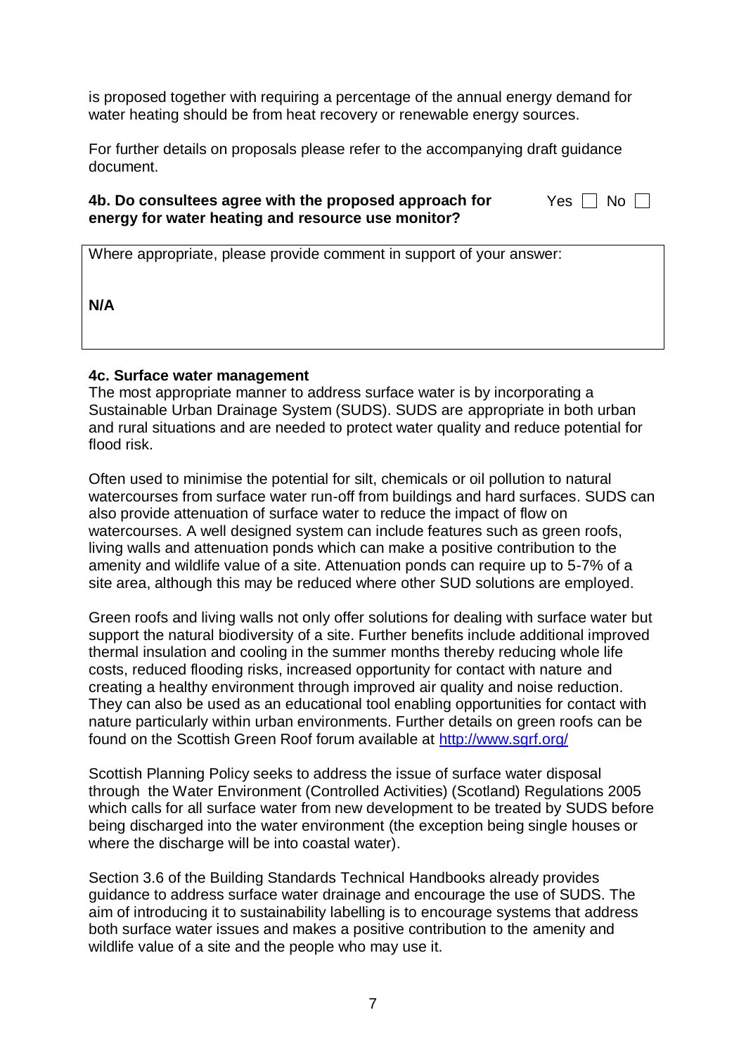is proposed together with requiring a percentage of the annual energy demand for water heating should be from heat recovery or renewable energy sources.

For further details on proposals please refer to the accompanying draft guidance document.

#### **4b. Do consultees agree with the proposed approach for energy for water heating and resource use monitor?**

|  | n |  |
|--|---|--|
|--|---|--|

|  | Where appropriate, please provide comment in support of your answer: |  |
|--|----------------------------------------------------------------------|--|
|  |                                                                      |  |

**N/A**

#### **4c. Surface water management**

The most appropriate manner to address surface water is by incorporating a Sustainable Urban Drainage System (SUDS). SUDS are appropriate in both urban and rural situations and are needed to protect water quality and reduce potential for flood risk.

Often used to minimise the potential for silt, chemicals or oil pollution to natural watercourses from surface water run-off from buildings and hard surfaces. SUDS can also provide attenuation of surface water to reduce the impact of flow on watercourses. A well designed system can include features such as green roofs, living walls and attenuation ponds which can make a positive contribution to the amenity and wildlife value of a site. Attenuation ponds can require up to 5-7% of a site area, although this may be reduced where other SUD solutions are employed.

Green roofs and living walls not only offer solutions for dealing with surface water but support the natural biodiversity of a site. Further benefits include additional improved thermal insulation and cooling in the summer months thereby reducing whole life costs, reduced flooding risks, increased opportunity for contact with nature and creating a healthy environment through improved air quality and noise reduction. They can also be used as an educational tool enabling opportunities for contact with nature particularly within urban environments. Further details on green roofs can be found on the Scottish Green Roof forum available at<http://www.sgrf.org/>

Scottish Planning Policy seeks to address the issue of surface water disposal through the Water Environment (Controlled Activities) (Scotland) Regulations 2005 which calls for all surface water from new development to be treated by SUDS before being discharged into the water environment (the exception being single houses or where the discharge will be into coastal water).

Section 3.6 of the Building Standards Technical Handbooks already provides guidance to address surface water drainage and encourage the use of SUDS. The aim of introducing it to sustainability labelling is to encourage systems that address both surface water issues and makes a positive contribution to the amenity and wildlife value of a site and the people who may use it.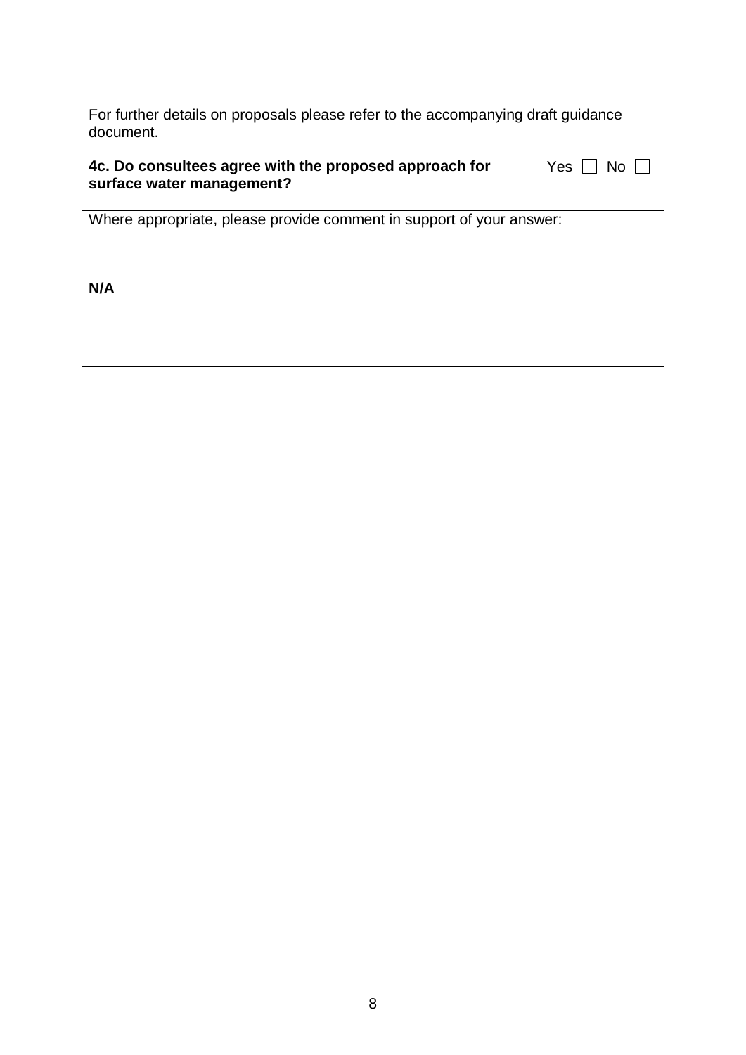For further details on proposals please refer to the accompanying draft guidance document.

| 4c. Do consultees agree with the proposed approach for | Yes $\Box$ No $\Box$ |
|--------------------------------------------------------|----------------------|
| surface water management?                              |                      |

Where appropriate, please provide comment in support of your answer: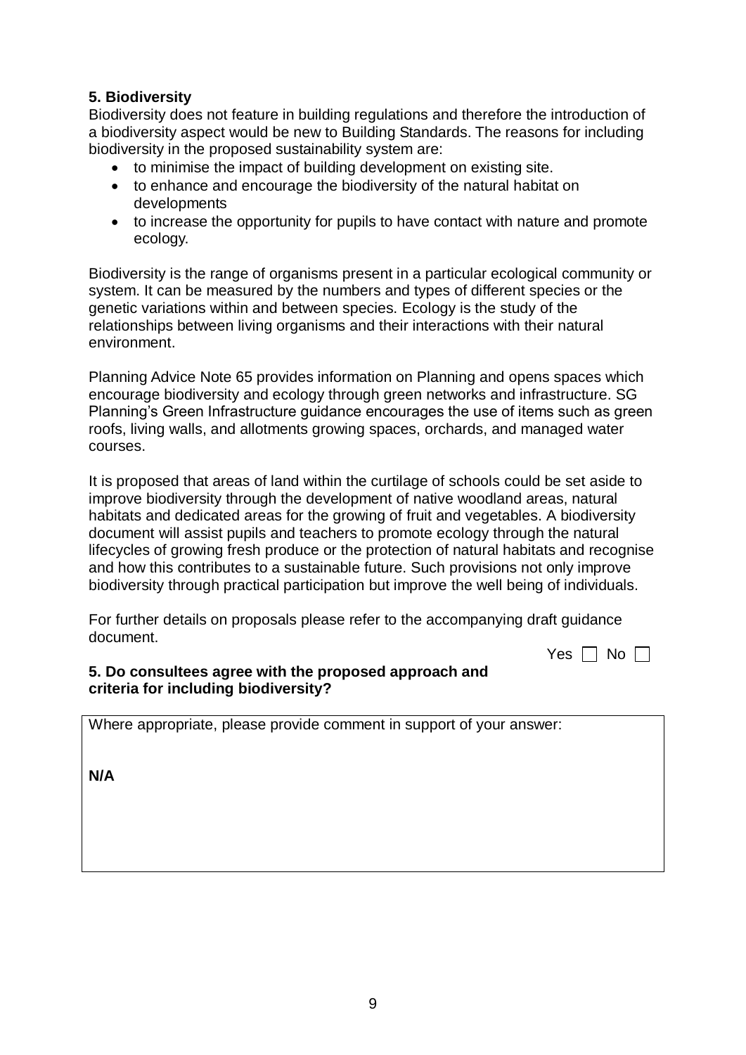# **5. Biodiversity**

Biodiversity does not feature in building regulations and therefore the introduction of a biodiversity aspect would be new to Building Standards. The reasons for including biodiversity in the proposed sustainability system are:

- to minimise the impact of building development on existing site.
- to enhance and encourage the biodiversity of the natural habitat on developments
- to increase the opportunity for pupils to have contact with nature and promote ecology.

Biodiversity is the range of organisms present in a particular ecological community or system. It can be measured by the numbers and types of different species or the genetic variations within and between species. Ecology is the study of the relationships between living organisms and their interactions with their natural environment.

Planning Advice Note 65 provides information on Planning and opens spaces which encourage biodiversity and ecology through green networks and infrastructure. SG Planning's Green Infrastructure guidance encourages the use of items such as green roofs, living walls, and allotments growing spaces, orchards, and managed water courses.

It is proposed that areas of land within the curtilage of schools could be set aside to improve biodiversity through the development of native woodland areas, natural habitats and dedicated areas for the growing of fruit and vegetables. A biodiversity document will assist pupils and teachers to promote ecology through the natural lifecycles of growing fresh produce or the protection of natural habitats and recognise and how this contributes to a sustainable future. Such provisions not only improve biodiversity through practical participation but improve the well being of individuals.

For further details on proposals please refer to the accompanying draft guidance document.

Yes  $\Box$  No  $\Box$ 

#### **5. Do consultees agree with the proposed approach and criteria for including biodiversity?**

Where appropriate, please provide comment in support of your answer: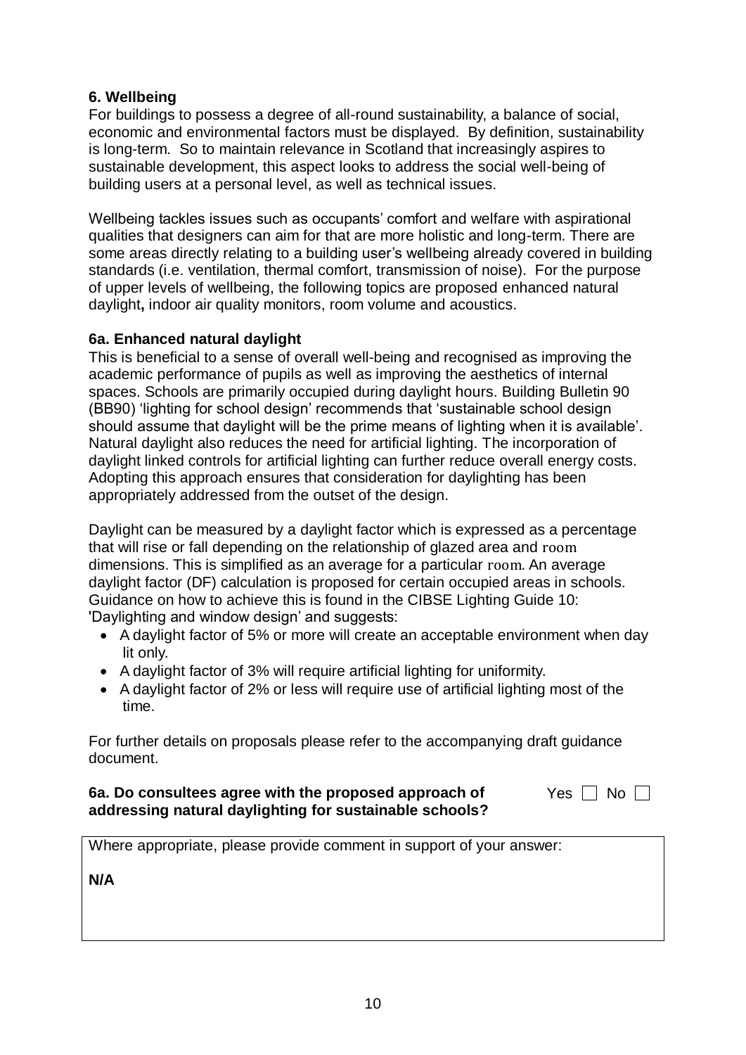# **6. Wellbeing**

For buildings to possess a degree of all-round sustainability, a balance of social, economic and environmental factors must be displayed. By definition, sustainability is long-term. So to maintain relevance in Scotland that increasingly aspires to sustainable development, this aspect looks to address the social well-being of building users at a personal level, as well as technical issues.

Wellbeing tackles issues such as occupants' comfort and welfare with aspirational qualities that designers can aim for that are more holistic and long-term. There are some areas directly relating to a building user's wellbeing already covered in building standards (i.e. ventilation, thermal comfort, transmission of noise). For the purpose of upper levels of wellbeing, the following topics are proposed enhanced natural daylight**,** indoor air quality monitors, room volume and acoustics.

## **6a. Enhanced natural daylight**

This is beneficial to a sense of overall well-being and recognised as improving the academic performance of pupils as well as improving the aesthetics of internal spaces. Schools are primarily occupied during daylight hours. Building Bulletin 90 (BB90) 'lighting for school design' recommends that 'sustainable school design should assume that daylight will be the prime means of lighting when it is available'. Natural daylight also reduces the need for artificial lighting. The incorporation of daylight linked controls for artificial lighting can further reduce overall energy costs. Adopting this approach ensures that consideration for daylighting has been appropriately addressed from the outset of the design.

Daylight can be measured by a daylight factor which is expressed as a percentage that will rise or fall depending on the relationship of glazed area and room dimensions. This is simplified as an average for a particular room*.* An average daylight factor (DF) calculation is proposed for certain occupied areas in schools. Guidance on how to achieve this is found in the CIBSE Lighting Guide 10: 'Daylighting and window design' and suggests:

- A daylight factor of 5% or more will create an acceptable environment when day lit only.
- A daylight factor of 3% will require artificial lighting for uniformity.
- A daylight factor of 2% or less will require use of artificial lighting most of the time.

For further details on proposals please refer to the accompanying draft guidance document.

#### **6a. Do consultees agree with the proposed approach of addressing natural daylighting for sustainable schools?**

|--|--|--|

Where appropriate, please provide comment in support of your answer: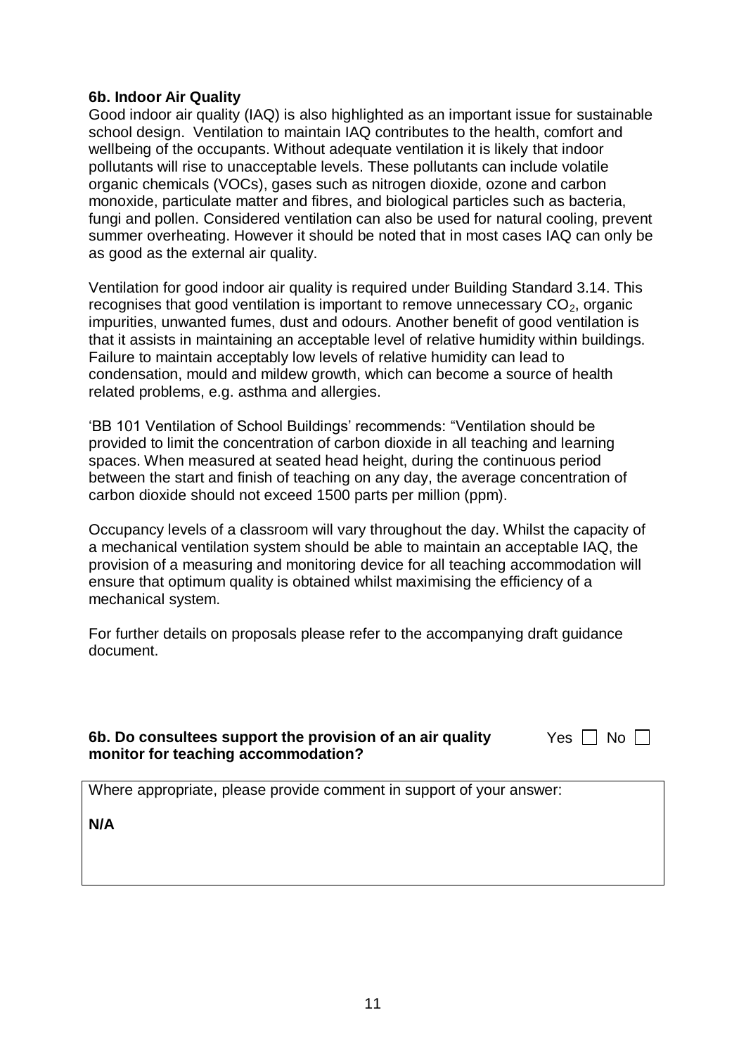#### **6b. Indoor Air Quality**

Good indoor air quality (IAQ) is also highlighted as an important issue for sustainable school design. Ventilation to maintain IAQ contributes to the health, comfort and wellbeing of the occupants. Without adequate ventilation it is likely that indoor pollutants will rise to unacceptable levels. These pollutants can include volatile organic chemicals (VOCs), gases such as nitrogen dioxide, ozone and carbon monoxide, particulate matter and fibres, and biological particles such as bacteria, fungi and pollen. Considered ventilation can also be used for natural cooling, prevent summer overheating. However it should be noted that in most cases IAQ can only be as good as the external air quality.

Ventilation for good indoor air quality is required under Building Standard 3.14. This recognises that good ventilation is important to remove unnecessary  $CO<sub>2</sub>$ , organic impurities, unwanted fumes, dust and odours. Another benefit of good ventilation is that it assists in maintaining an acceptable level of relative humidity within buildings. Failure to maintain acceptably low levels of relative humidity can lead to condensation, mould and mildew growth, which can become a source of health related problems, e.g. asthma and allergies.

'BB 101 Ventilation of School Buildings' recommends: "Ventilation should be provided to limit the concentration of carbon dioxide in all teaching and learning spaces. When measured at seated head height, during the continuous period between the start and finish of teaching on any day, the average concentration of carbon dioxide should not exceed 1500 parts per million (ppm).

Occupancy levels of a classroom will vary throughout the day. Whilst the capacity of a mechanical ventilation system should be able to maintain an acceptable IAQ, the provision of a measuring and monitoring device for all teaching accommodation will ensure that optimum quality is obtained whilst maximising the efficiency of a mechanical system.

For further details on proposals please refer to the accompanying draft guidance document.

## **6b. Do consultees support the provision of an air quality monitor for teaching accommodation?**

| ц | \l<br>י |  |
|---|---------|--|
|   |         |  |

Where appropriate, please provide comment in support of your answer: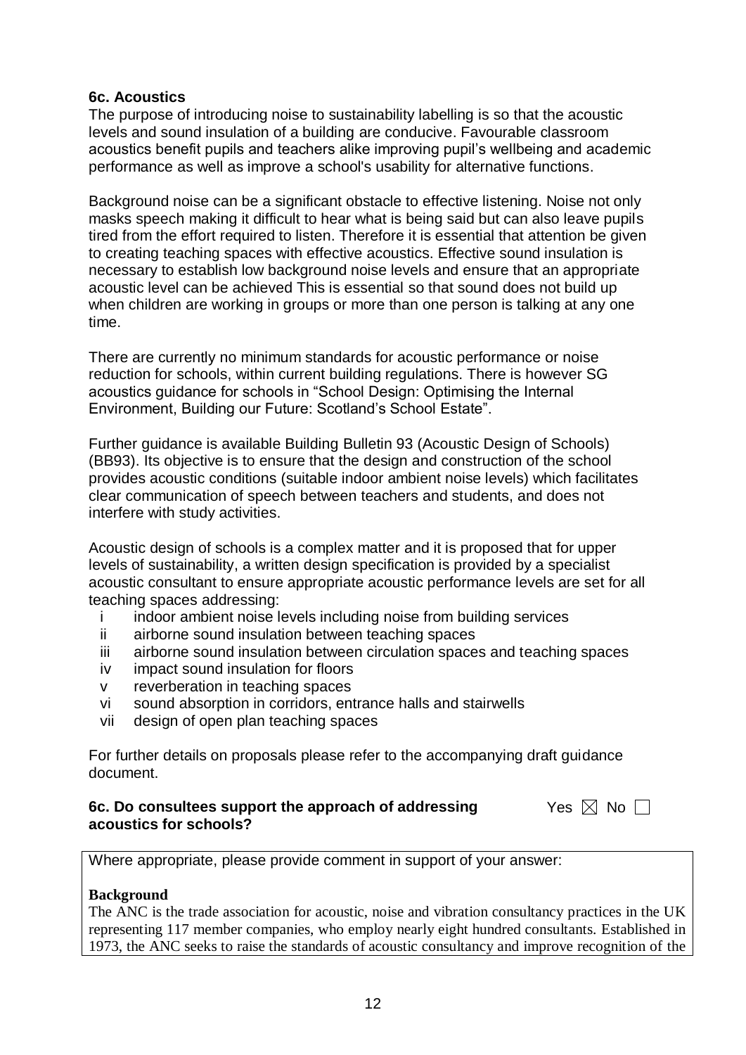#### **6c. Acoustics**

The purpose of introducing noise to sustainability labelling is so that the acoustic levels and sound insulation of a building are conducive. Favourable classroom acoustics benefit pupils and teachers alike improving pupil's wellbeing and academic performance as well as improve a school's usability for alternative functions.

Background noise can be a significant obstacle to effective listening. Noise not only masks speech making it difficult to hear what is being said but can also leave pupils tired from the effort required to listen. Therefore it is essential that attention be given to creating teaching spaces with effective acoustics. Effective sound insulation is necessary to establish low background noise levels and ensure that an appropriate acoustic level can be achieved This is essential so that sound does not build up when children are working in groups or more than one person is talking at any one time.

There are currently no minimum standards for acoustic performance or noise reduction for schools, within current building regulations. There is however SG acoustics guidance for schools in "School Design: Optimising the Internal Environment, Building our Future: Scotland's School Estate".

Further guidance is available Building Bulletin 93 (Acoustic Design of Schools) (BB93). Its objective is to ensure that the design and construction of the school provides acoustic conditions (suitable indoor ambient noise levels) which facilitates clear communication of speech between teachers and students, and does not interfere with study activities.

Acoustic design of schools is a complex matter and it is proposed that for upper levels of sustainability, a written design specification is provided by a specialist acoustic consultant to ensure appropriate acoustic performance levels are set for all teaching spaces addressing:

- i indoor ambient noise levels including noise from building services
- ii airborne sound insulation between teaching spaces
- iii airborne sound insulation between circulation spaces and teaching spaces
- iv impact sound insulation for floors
- v reverberation in teaching spaces
- vi sound absorption in corridors, entrance halls and stairwells
- vii design of open plan teaching spaces

For further details on proposals please refer to the accompanying draft guidance document.

#### **6c. Do consultees support the approach of addressing Yes**  $\boxtimes$  **No acoustics for schools?**

Where appropriate, please provide comment in support of your answer:

#### **Background**

The ANC is the trade association for acoustic, noise and vibration consultancy practices in the UK representing 117 member companies, who employ nearly eight hundred consultants. Established in 1973, the ANC seeks to raise the standards of acoustic consultancy and improve recognition of the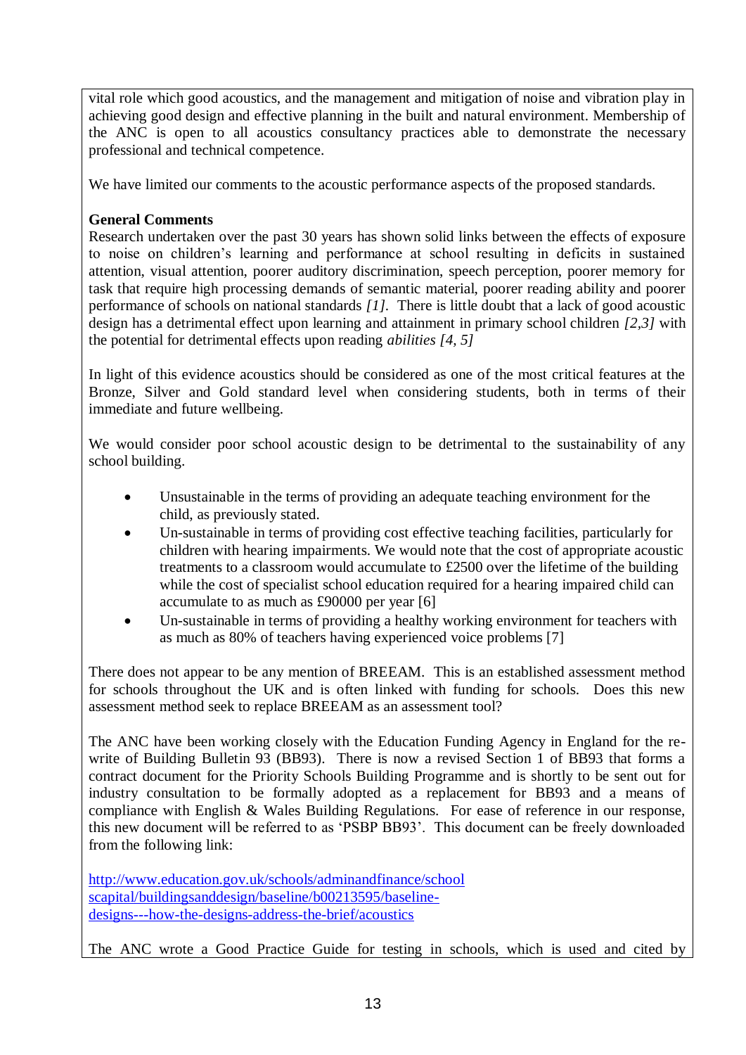vital role which good acoustics, and the management and mitigation of noise and vibration play in achieving good design and effective planning in the built and natural environment. Membership of the ANC is open to all acoustics consultancy practices able to demonstrate the necessary professional and technical competence.

We have limited our comments to the acoustic performance aspects of the proposed standards.

# **General Comments**

Research undertaken over the past 30 years has shown solid links between the effects of exposure to noise on children's learning and performance at school resulting in deficits in sustained attention, visual attention, poorer auditory discrimination, speech perception, poorer memory for task that require high processing demands of semantic material, poorer reading ability and poorer performance of schools on national standards *[1].* There is little doubt that a lack of good acoustic design has a detrimental effect upon learning and attainment in primary school children *[2,3]* with the potential for detrimental effects upon reading *abilities [4, 5]* 

In light of this evidence acoustics should be considered as one of the most critical features at the Bronze, Silver and Gold standard level when considering students, both in terms of their immediate and future wellbeing.

We would consider poor school acoustic design to be detrimental to the sustainability of any school building.

- Unsustainable in the terms of providing an adequate teaching environment for the child, as previously stated.
- Un-sustainable in terms of providing cost effective teaching facilities, particularly for children with hearing impairments. We would note that the cost of appropriate acoustic treatments to a classroom would accumulate to £2500 over the lifetime of the building while the cost of specialist school education required for a hearing impaired child can accumulate to as much as £90000 per year [6]
- Un-sustainable in terms of providing a healthy working environment for teachers with as much as 80% of teachers having experienced voice problems [7]

There does not appear to be any mention of BREEAM. This is an established assessment method for schools throughout the UK and is often linked with funding for schools. Does this new assessment method seek to replace BREEAM as an assessment tool?

The ANC have been working closely with the Education Funding Agency in England for the rewrite of Building Bulletin 93 (BB93). There is now a revised Section 1 of BB93 that forms a contract document for the Priority Schools Building Programme and is shortly to be sent out for industry consultation to be formally adopted as a replacement for BB93 and a means of compliance with English & Wales Building Regulations. For ease of reference in our response, this new document will be referred to as 'PSBP BB93'. This document can be freely downloaded from the following link:

[http://www.education.gov.uk/schools/adminandfinance/school](http://www.education.gov.uk/schools/adminandfinance/schoolscapital/buildingsanddesign/baseline/b00213595/baseline-designs---how-the-designs-address-the-brief/acoustics) [scapital/buildingsanddesign/baseline/b00213595/baseline](http://www.education.gov.uk/schools/adminandfinance/schoolscapital/buildingsanddesign/baseline/b00213595/baseline-designs---how-the-designs-address-the-brief/acoustics)[designs---how-the-designs-address-the-brief/acoustics](http://www.education.gov.uk/schools/adminandfinance/schoolscapital/buildingsanddesign/baseline/b00213595/baseline-designs---how-the-designs-address-the-brief/acoustics)

The ANC wrote a Good Practice Guide for testing in schools, which is used and cited by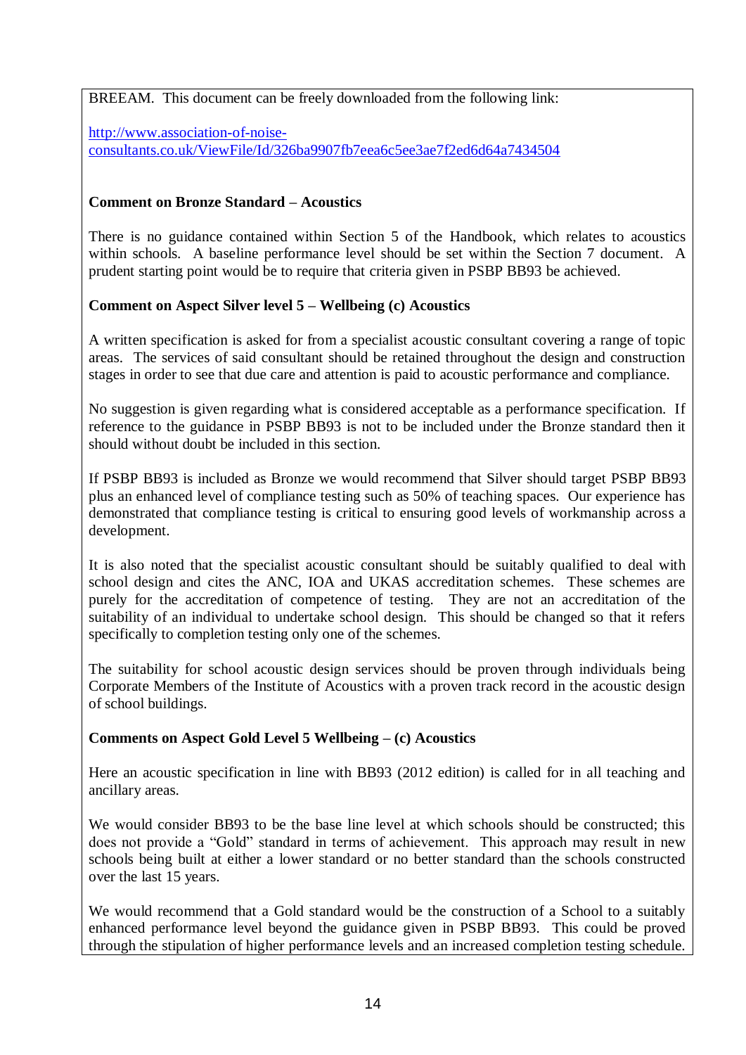BREEAM. This document can be freely downloaded from the following link:

[http://www.association-of-noise](http://www.association-of-noise-consultants.co.uk/ViewFile/Id/326ba9907fb7eea6c5ee3ae7f2ed6d64a7434504)[consultants.co.uk/ViewFile/Id/326ba9907fb7eea6c5ee3ae7f2ed6d64a7434504](http://www.association-of-noise-consultants.co.uk/ViewFile/Id/326ba9907fb7eea6c5ee3ae7f2ed6d64a7434504)

## **Comment on Bronze Standard – Acoustics**

There is no guidance contained within Section 5 of the Handbook, which relates to acoustics within schools. A baseline performance level should be set within the Section 7 document. A prudent starting point would be to require that criteria given in PSBP BB93 be achieved.

## **Comment on Aspect Silver level 5 – Wellbeing (c) Acoustics**

A written specification is asked for from a specialist acoustic consultant covering a range of topic areas. The services of said consultant should be retained throughout the design and construction stages in order to see that due care and attention is paid to acoustic performance and compliance.

No suggestion is given regarding what is considered acceptable as a performance specification. If reference to the guidance in PSBP BB93 is not to be included under the Bronze standard then it should without doubt be included in this section.

If PSBP BB93 is included as Bronze we would recommend that Silver should target PSBP BB93 plus an enhanced level of compliance testing such as 50% of teaching spaces. Our experience has demonstrated that compliance testing is critical to ensuring good levels of workmanship across a development.

It is also noted that the specialist acoustic consultant should be suitably qualified to deal with school design and cites the ANC, IOA and UKAS accreditation schemes. These schemes are purely for the accreditation of competence of testing. They are not an accreditation of the suitability of an individual to undertake school design. This should be changed so that it refers specifically to completion testing only one of the schemes.

The suitability for school acoustic design services should be proven through individuals being Corporate Members of the Institute of Acoustics with a proven track record in the acoustic design of school buildings.

#### **Comments on Aspect Gold Level 5 Wellbeing – (c) Acoustics**

Here an acoustic specification in line with BB93 (2012 edition) is called for in all teaching and ancillary areas.

We would consider BB93 to be the base line level at which schools should be constructed; this does not provide a "Gold" standard in terms of achievement. This approach may result in new schools being built at either a lower standard or no better standard than the schools constructed over the last 15 years.

We would recommend that a Gold standard would be the construction of a School to a suitably enhanced performance level beyond the guidance given in PSBP BB93. This could be proved through the stipulation of higher performance levels and an increased completion testing schedule.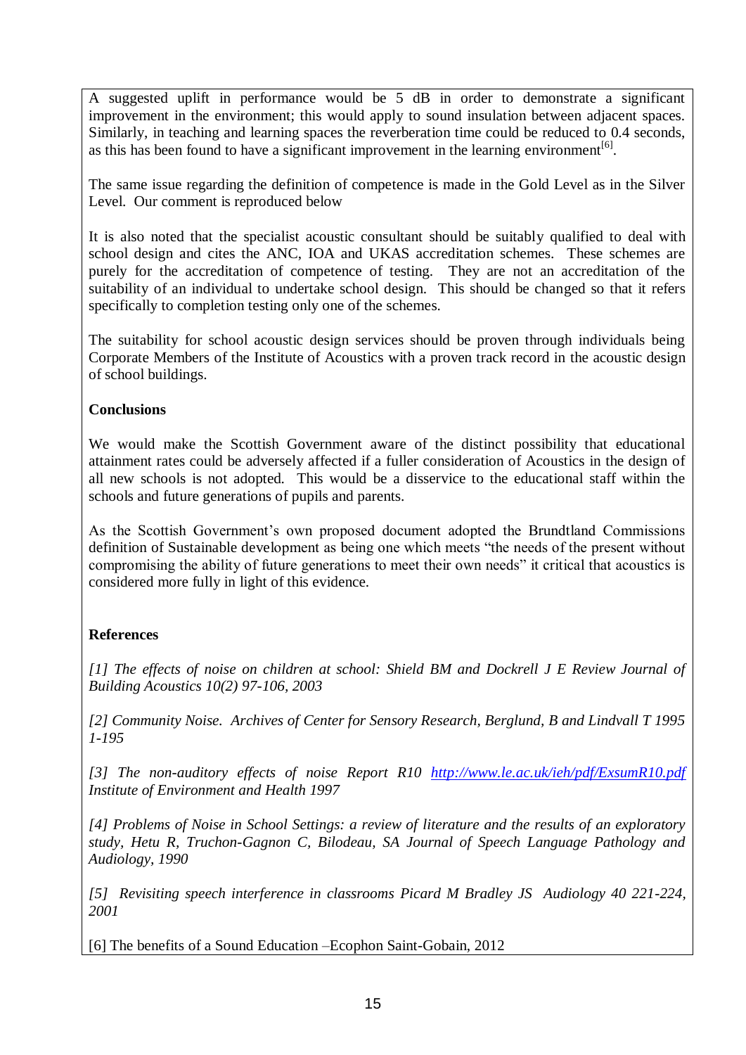A suggested uplift in performance would be 5 dB in order to demonstrate a significant improvement in the environment; this would apply to sound insulation between adjacent spaces. Similarly, in teaching and learning spaces the reverberation time could be reduced to 0.4 seconds, as this has been found to have a significant improvement in the learning environment<sup>[6]</sup>.

The same issue regarding the definition of competence is made in the Gold Level as in the Silver Level. Our comment is reproduced below

It is also noted that the specialist acoustic consultant should be suitably qualified to deal with school design and cites the ANC, IOA and UKAS accreditation schemes. These schemes are purely for the accreditation of competence of testing. They are not an accreditation of the suitability of an individual to undertake school design. This should be changed so that it refers specifically to completion testing only one of the schemes.

The suitability for school acoustic design services should be proven through individuals being Corporate Members of the Institute of Acoustics with a proven track record in the acoustic design of school buildings.

#### **Conclusions**

We would make the Scottish Government aware of the distinct possibility that educational attainment rates could be adversely affected if a fuller consideration of Acoustics in the design of all new schools is not adopted. This would be a disservice to the educational staff within the schools and future generations of pupils and parents.

As the Scottish Government's own proposed document adopted the Brundtland Commissions definition of Sustainable development as being one which meets "the needs of the present without compromising the ability of future generations to meet their own needs" it critical that acoustics is considered more fully in light of this evidence.

# **References**

*[1] The effects of noise on children at school: Shield BM and Dockrell J E Review Journal of Building Acoustics 10(2) 97-106, 2003*

*[2] Community Noise. Archives of Center for Sensory Research, Berglund, B and Lindvall T 1995 1-195* 

*[3] The non-auditory effects of noise Report R10 <http://www.le.ac.uk/ieh/pdf/ExsumR10.pdf> Institute of Environment and Health 1997*

*[4] Problems of Noise in School Settings: a review of literature and the results of an exploratory study, Hetu R, Truchon-Gagnon C, Bilodeau, SA Journal of Speech Language Pathology and Audiology, 1990*

*[5] Revisiting speech interference in classrooms Picard M Bradley JS Audiology 40 221-224, 2001*

[6] The benefits of a Sound Education –Ecophon Saint-Gobain, 2012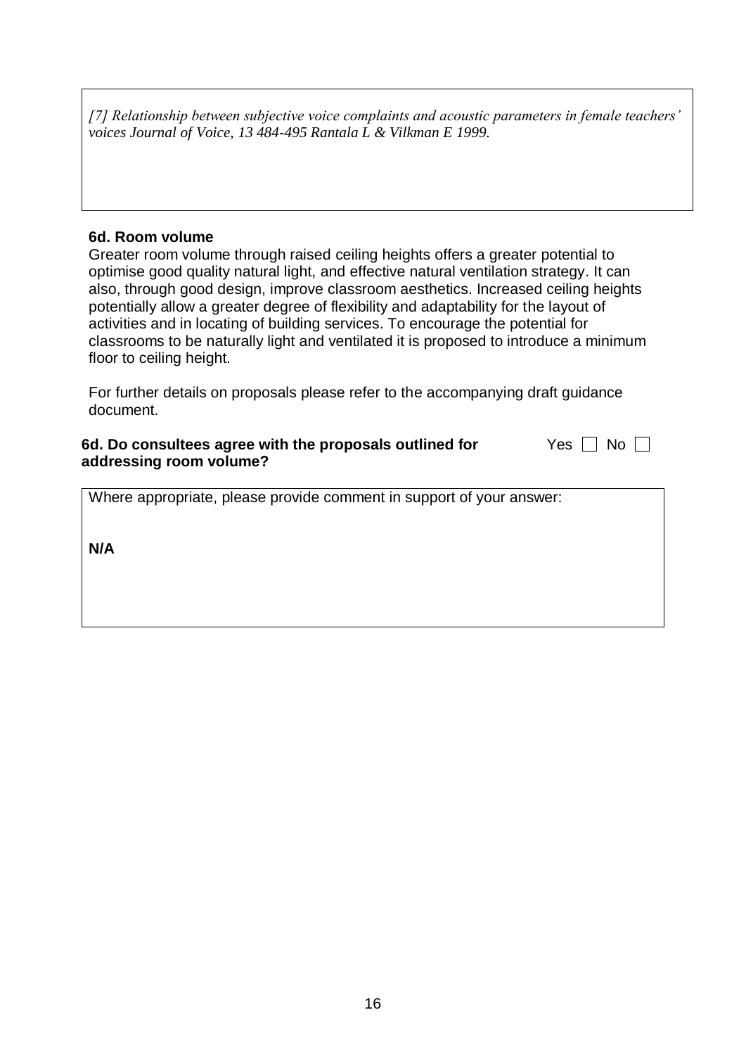*[7] Relationship between subjective voice complaints and acoustic parameters in female teachers' voices Journal of Voice, 13 484-495 Rantala L & Vilkman E 1999.*

#### **6d. Room volume**

Greater room volume through raised ceiling heights offers a greater potential to optimise good quality natural light, and effective natural ventilation strategy. It can also, through good design, improve classroom aesthetics. Increased ceiling heights potentially allow a greater degree of flexibility and adaptability for the layout of activities and in locating of building services. To encourage the potential for classrooms to be naturally light and ventilated it is proposed to introduce a minimum floor to ceiling height.

For further details on proposals please refer to the accompanying draft guidance document.

#### **6d. Do consultees agree with the proposals outlined for addressing room volume?** Yes  $\Box$  No  $\Box$

Where appropriate, please provide comment in support of your answer: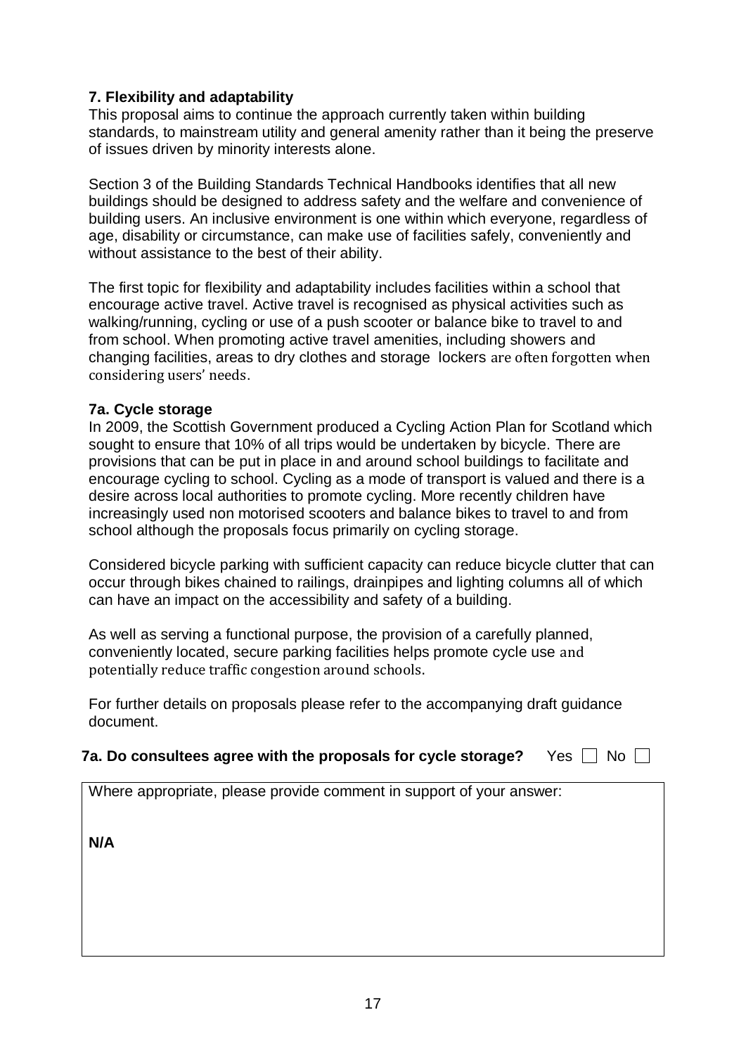# **7. Flexibility and adaptability**

This proposal aims to continue the approach currently taken within building standards, to mainstream utility and general amenity rather than it being the preserve of issues driven by minority interests alone.

Section 3 of the Building Standards Technical Handbooks identifies that all new buildings should be designed to address safety and the welfare and convenience of building users. An inclusive environment is one within which everyone, regardless of age, disability or circumstance, can make use of facilities safely, conveniently and without assistance to the best of their ability.

The first topic for flexibility and adaptability includes facilities within a school that encourage active travel. Active travel is recognised as physical activities such as walking/running, cycling or use of a push scooter or balance bike to travel to and from school. When promoting active travel amenities, including showers and changing facilities, areas to dry clothes and storage lockers are often forgotten when considering users' needs.

# **7a. Cycle storage**

In 2009, the Scottish Government produced a Cycling Action Plan for Scotland which sought to ensure that 10% of all trips would be undertaken by bicycle. There are provisions that can be put in place in and around school buildings to facilitate and encourage cycling to school. Cycling as a mode of transport is valued and there is a desire across local authorities to promote cycling. More recently children have increasingly used non motorised scooters and balance bikes to travel to and from school although the proposals focus primarily on cycling storage.

Considered bicycle parking with sufficient capacity can reduce bicycle clutter that can occur through bikes chained to railings, drainpipes and lighting columns all of which can have an impact on the accessibility and safety of a building.

As well as serving a functional purpose, the provision of a carefully planned, conveniently located, secure parking facilities helps promote cycle use and potentially reduce traffic congestion around schools.

For further details on proposals please refer to the accompanying draft guidance document.

|  | 7a. Do consultees agree with the proposals for cycle storage? $\quad$ <code>Yes</code> $\Box$ <code>No <math>\Box</math></code> |  |
|--|---------------------------------------------------------------------------------------------------------------------------------|--|
|--|---------------------------------------------------------------------------------------------------------------------------------|--|

Where appropriate, please provide comment in support of your answer: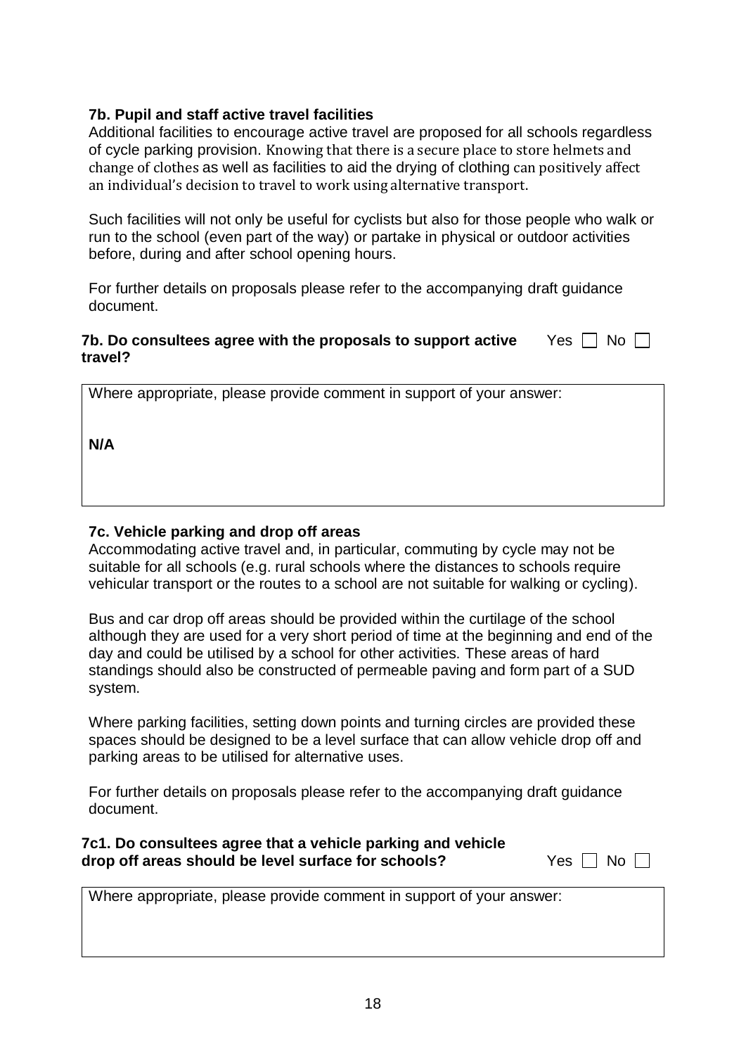# **7b. Pupil and staff active travel facilities**

Additional facilities to encourage active travel are proposed for all schools regardless of cycle parking provision. Knowing that there is a secure place to store helmets and change of clothes as well as facilities to aid the drying of clothing can positively affect an individual's decision to travel to work using alternative transport.

Such facilities will not only be useful for cyclists but also for those people who walk or run to the school (even part of the way) or partake in physical or outdoor activities before, during and after school opening hours.

For further details on proposals please refer to the accompanying draft guidance document.

#### **7b. Do consultees agree with the proposals to support active** Yes  $\Box$  No **travel?**

Where appropriate, please provide comment in support of your answer:

**N/A**

# **7c. Vehicle parking and drop off areas**

Accommodating active travel and, in particular, commuting by cycle may not be suitable for all schools (e.g. rural schools where the distances to schools require vehicular transport or the routes to a school are not suitable for walking or cycling).

Bus and car drop off areas should be provided within the curtilage of the school although they are used for a very short period of time at the beginning and end of the day and could be utilised by a school for other activities. These areas of hard standings should also be constructed of permeable paving and form part of a SUD system.

Where parking facilities, setting down points and turning circles are provided these spaces should be designed to be a level surface that can allow vehicle drop off and parking areas to be utilised for alternative uses.

For further details on proposals please refer to the accompanying draft guidance document.

| 7c1. Do consultees agree that a vehicle parking and vehicle |                      |
|-------------------------------------------------------------|----------------------|
| drop off areas should be level surface for schools?         | Yes $\Box$ No $\Box$ |

Where appropriate, please provide comment in support of your answer: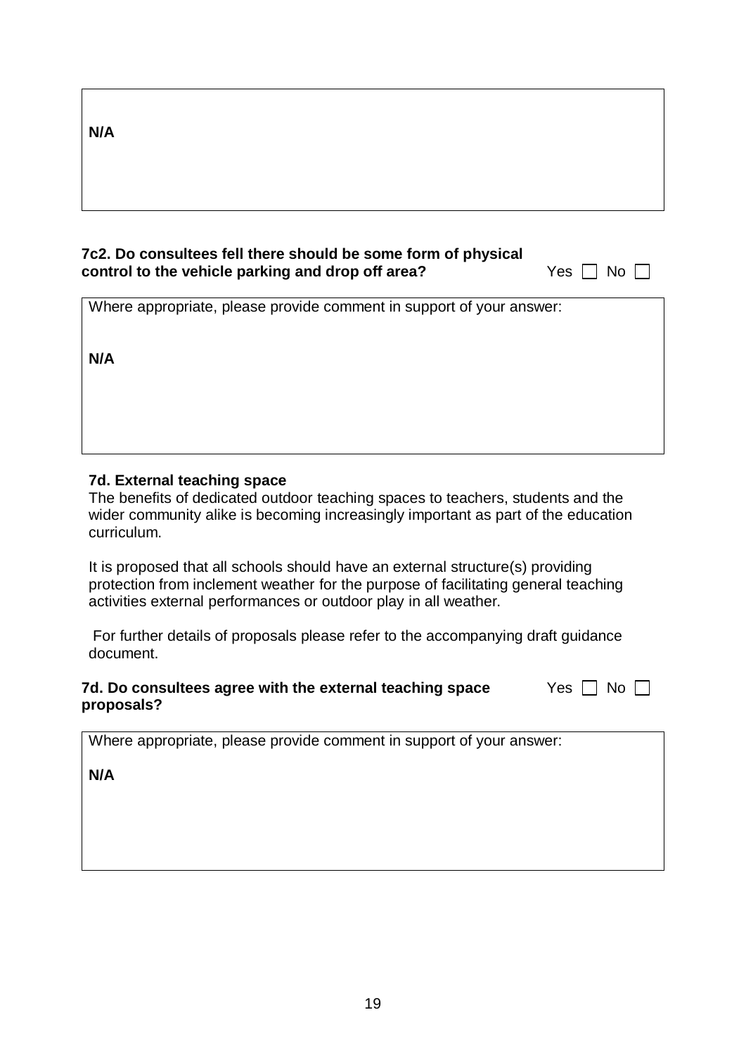**N/A**

# **7c2. Do consultees fell there should be some form of physical control to the vehicle parking and drop off area?** Yes  $\Box$  No  $\Box$

Where appropriate, please provide comment in support of your answer:

**N/A**

# **7d. External teaching space**

The benefits of dedicated outdoor teaching spaces to teachers, students and the wider community alike is becoming increasingly important as part of the education curriculum.

It is proposed that all schools should have an external structure(s) providing protection from inclement weather for the purpose of facilitating general teaching activities external performances or outdoor play in all weather.

For further details of proposals please refer to the accompanying draft guidance document.

#### **7d. Do consultees agree with the external teaching space** Yes  $\Box$  No **proposals?**

Where appropriate, please provide comment in support of your answer: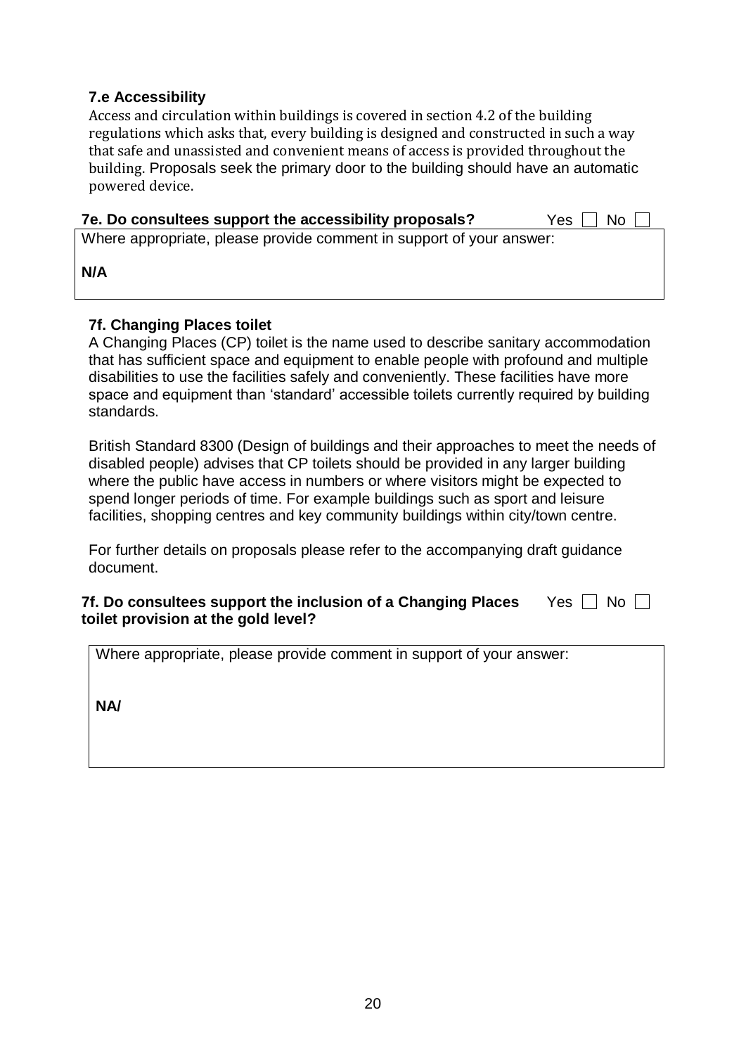# **7.e Accessibility**

Access and circulation within buildings is covered in section 4.2 of the building regulations which asks that, every building is designed and constructed in such a way that safe and unassisted and convenient means of access is provided throughout the building. Proposals seek the primary door to the building should have an automatic powered device.

| 7e. Do consultees support the accessibility proposals?               | Yes $\Box$ No $\Box$ |
|----------------------------------------------------------------------|----------------------|
| Where appropriate, please provide comment in support of your answer: |                      |
| N/A                                                                  |                      |

# **7f. Changing Places toilet**

A Changing Places (CP) toilet is the name used to describe sanitary accommodation that has sufficient space and equipment to enable people with profound and multiple disabilities to use the facilities safely and conveniently. These facilities have more space and equipment than 'standard' accessible toilets currently required by building standards.

British Standard 8300 (Design of buildings and their approaches to meet the needs of disabled people) advises that CP toilets should be provided in any larger building where the public have access in numbers or where visitors might be expected to spend longer periods of time. For example buildings such as sport and leisure facilities, shopping centres and key community buildings within city/town centre.

For further details on proposals please refer to the accompanying draft guidance document.

**7f. Do consultees support the inclusion of a Changing Places toilet provision at the gold level?** Yes  $\Box$  No  $\Box$ 

Where appropriate, please provide comment in support of your answer:

**NA/**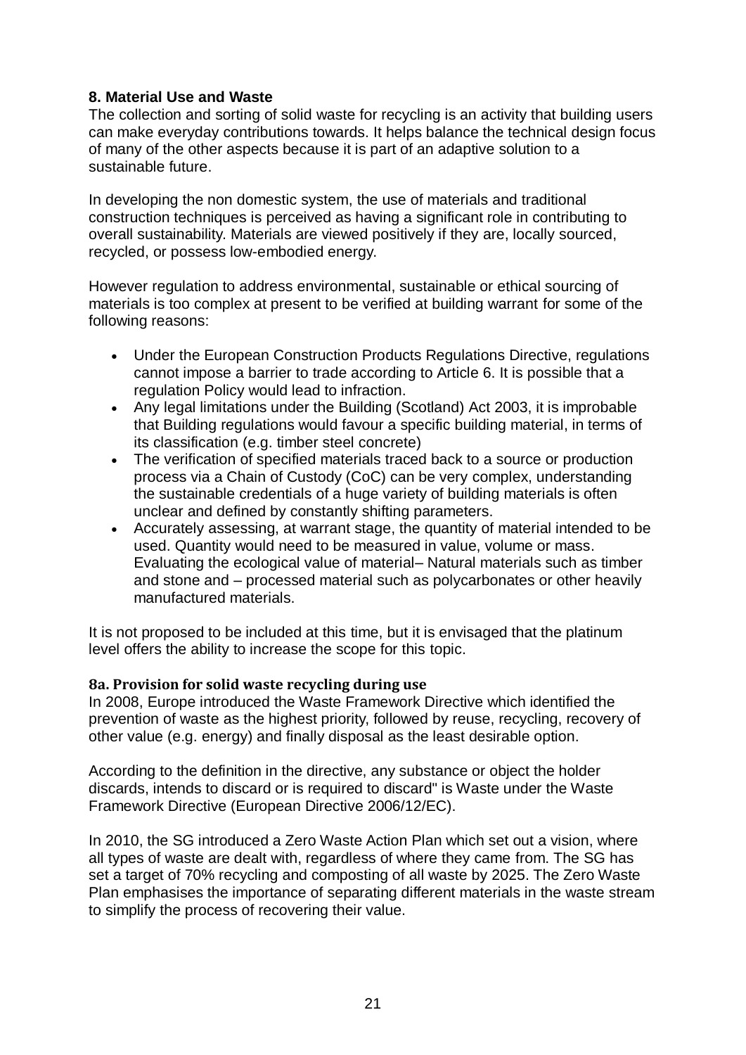# **8. Material Use and Waste**

The collection and sorting of solid waste for recycling is an activity that building users can make everyday contributions towards. It helps balance the technical design focus of many of the other aspects because it is part of an adaptive solution to a sustainable future.

In developing the non domestic system, the use of materials and traditional construction techniques is perceived as having a significant role in contributing to overall sustainability. Materials are viewed positively if they are, locally sourced, recycled, or possess low-embodied energy.

However regulation to address environmental, sustainable or ethical sourcing of materials is too complex at present to be verified at building warrant for some of the following reasons:

- Under the European Construction Products Regulations Directive, regulations cannot impose a barrier to trade according to Article 6. It is possible that a regulation Policy would lead to infraction.
- Any legal limitations under the Building (Scotland) Act 2003, it is improbable that Building regulations would favour a specific building material, in terms of its classification (e.g. timber steel concrete)
- The verification of specified materials traced back to a source or production process via a Chain of Custody (CoC) can be very complex, understanding the sustainable credentials of a huge variety of building materials is often unclear and defined by constantly shifting parameters.
- Accurately assessing, at warrant stage, the quantity of material intended to be used. Quantity would need to be measured in value, volume or mass. Evaluating the ecological value of material– Natural materials such as timber and stone and – processed material such as polycarbonates or other heavily manufactured materials.

It is not proposed to be included at this time, but it is envisaged that the platinum level offers the ability to increase the scope for this topic.

#### **8a. Provision for solid waste recycling during use**

In 2008, Europe introduced the Waste Framework Directive which identified the prevention of waste as the highest priority, followed by reuse, recycling, recovery of other value (e.g. energy) and finally disposal as the least desirable option.

According to the definition in the directive, any substance or object the holder discards, intends to discard or is required to discard" is Waste under the Waste Framework Directive (European Directive 2006/12/EC).

In 2010, the SG introduced a Zero Waste Action Plan which set out a vision, where all types of waste are dealt with, regardless of where they came from. The SG has set a target of 70% recycling and composting of all waste by 2025. The Zero Waste Plan emphasises the importance of separating different materials in the waste stream to simplify the process of recovering their value.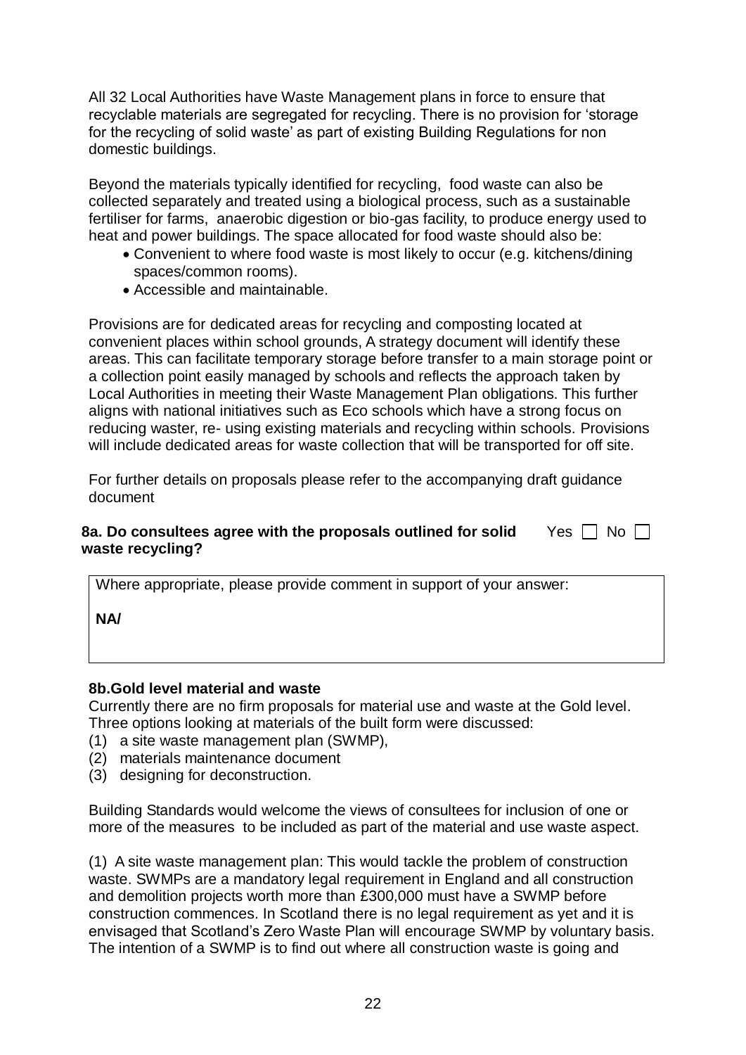All 32 Local Authorities have Waste Management plans in force to ensure that recyclable materials are segregated for recycling. There is no provision for 'storage for the recycling of solid waste' as part of existing Building Regulations for non domestic buildings.

Beyond the materials typically identified for recycling, food waste can also be collected separately and treated using a biological process, such as a sustainable fertiliser for farms, anaerobic digestion or bio-gas facility, to produce energy used to heat and power buildings. The space allocated for food waste should also be:

- Convenient to where food waste is most likely to occur (e.g. kitchens/dining spaces/common rooms).
- Accessible and maintainable.

Provisions are for dedicated areas for recycling and composting located at convenient places within school grounds, A strategy document will identify these areas. This can facilitate temporary storage before transfer to a main storage point or a collection point easily managed by schools and reflects the approach taken by Local Authorities in meeting their Waste Management Plan obligations. This further aligns with national initiatives such as Eco schools which have a strong focus on reducing waster, re- using existing materials and recycling within schools. Provisions will include dedicated areas for waste collection that will be transported for off site.

For further details on proposals please refer to the accompanying draft guidance document

#### **8a. Do consultees agree with the proposals outlined for solid** Yes  $\Box$  No **waste recycling?**

Where appropriate, please provide comment in support of your answer:

**NA/**

#### **8b.Gold level material and waste**

Currently there are no firm proposals for material use and waste at the Gold level. Three options looking at materials of the built form were discussed:

- (1) a site waste management plan (SWMP),
- (2) materials maintenance document
- (3) designing for deconstruction.

Building Standards would welcome the views of consultees for inclusion of one or more of the measures to be included as part of the material and use waste aspect.

(1) A site waste management plan: This would tackle the problem of construction waste. SWMPs are a mandatory legal requirement in England and all construction and demolition projects worth more than £300,000 must have a SWMP before construction commences. In Scotland there is no legal requirement as yet and it is envisaged that Scotland's Zero Waste Plan will encourage SWMP by voluntary basis. The intention of a SWMP is to find out where all construction waste is going and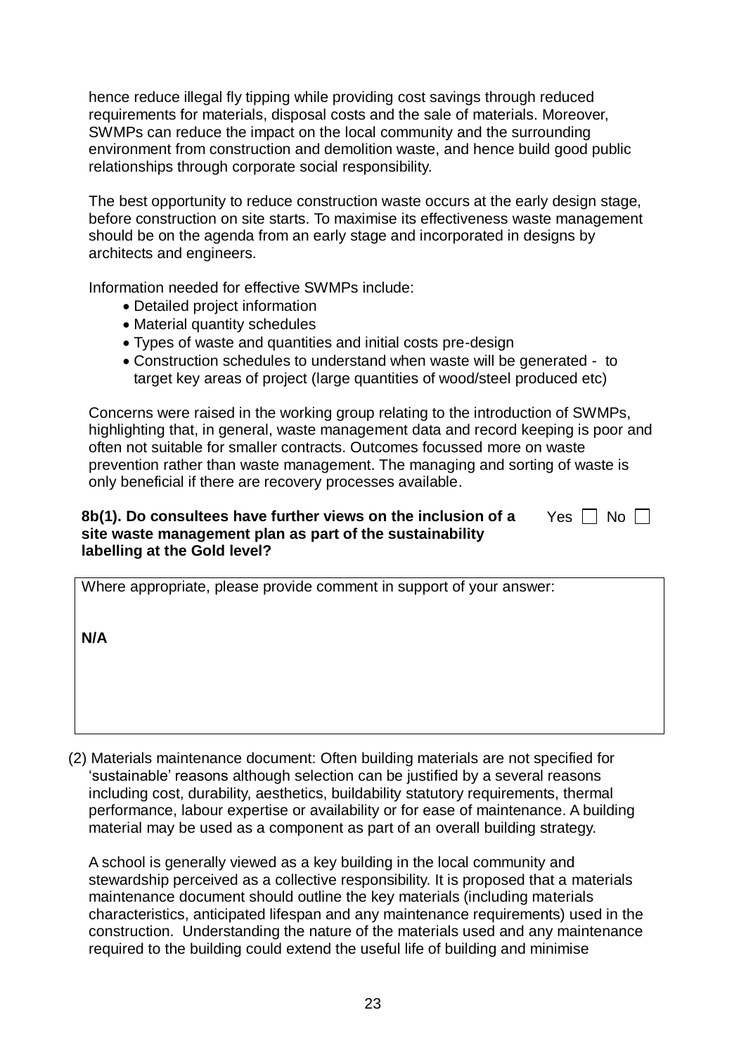hence reduce illegal fly tipping while providing cost savings through reduced requirements for materials, disposal costs and the sale of materials. Moreover, SWMPs can reduce the impact on the local community and the surrounding environment from construction and demolition waste, and hence build good public relationships through corporate social responsibility.

The best opportunity to reduce construction waste occurs at the early design stage, before construction on site starts. To maximise its effectiveness waste management should be on the agenda from an early stage and incorporated in designs by architects and engineers.

Information needed for effective SWMPs include:

- Detailed project information
- Material quantity schedules
- Types of waste and quantities and initial costs pre-design
- Construction schedules to understand when waste will be generated to target key areas of project (large quantities of wood/steel produced etc)

Concerns were raised in the working group relating to the introduction of SWMPs, highlighting that, in general, waste management data and record keeping is poor and often not suitable for smaller contracts. Outcomes focussed more on waste prevention rather than waste management. The managing and sorting of waste is only beneficial if there are recovery processes available.

### **8b(1). Do consultees have further views on the inclusion of a site waste management plan as part of the sustainability labelling at the Gold level?**

|  |  | ง∩ |
|--|--|----|
|--|--|----|

Where appropriate, please provide comment in support of your answer:

**N/A**

(2) Materials maintenance document: Often building materials are not specified for 'sustainable' reasons although selection can be justified by a several reasons including cost, durability, aesthetics, buildability statutory requirements, thermal performance, labour expertise or availability or for ease of maintenance. A building material may be used as a component as part of an overall building strategy.

A school is generally viewed as a key building in the local community and stewardship perceived as a collective responsibility. It is proposed that a materials maintenance document should outline the key materials (including materials characteristics, anticipated lifespan and any maintenance requirements) used in the construction. Understanding the nature of the materials used and any maintenance required to the building could extend the useful life of building and minimise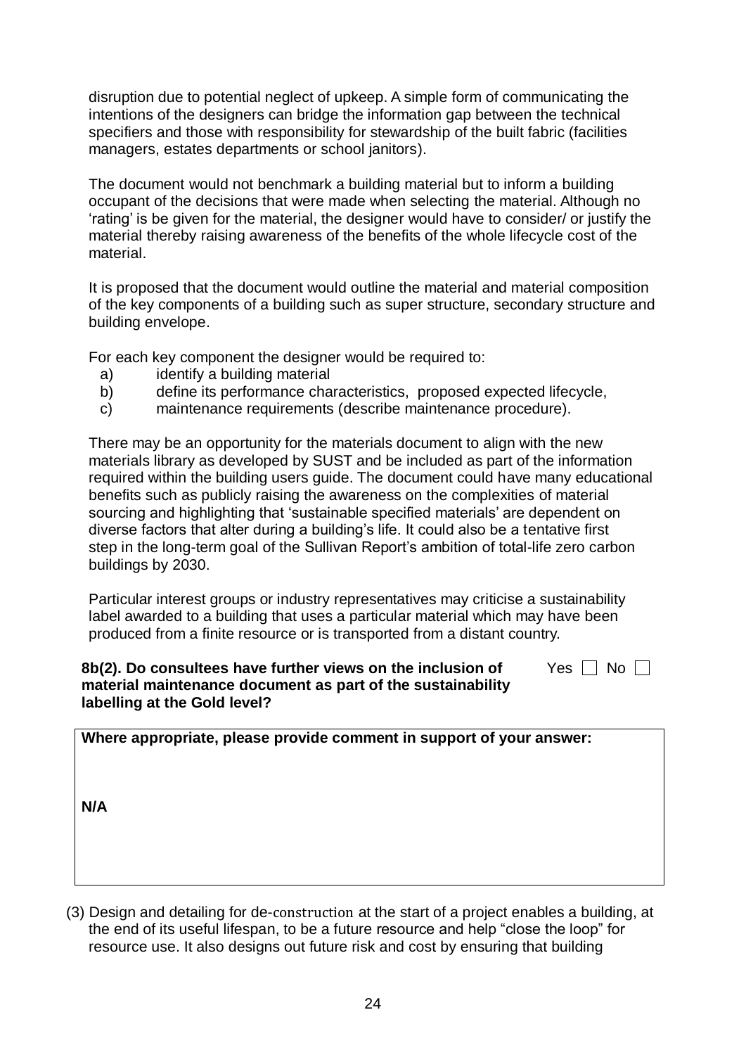disruption due to potential neglect of upkeep. A simple form of communicating the intentions of the designers can bridge the information gap between the technical specifiers and those with responsibility for stewardship of the built fabric (facilities managers, estates departments or school janitors).

The document would not benchmark a building material but to inform a building occupant of the decisions that were made when selecting the material. Although no 'rating' is be given for the material, the designer would have to consider/ or justify the material thereby raising awareness of the benefits of the whole lifecycle cost of the material.

It is proposed that the document would outline the material and material composition of the key components of a building such as super structure, secondary structure and building envelope.

For each key component the designer would be required to:

- a) identify a building material
- b) define its performance characteristics, proposed expected lifecycle,
- c) maintenance requirements (describe maintenance procedure).

There may be an opportunity for the materials document to align with the new materials library as developed by SUST and be included as part of the information required within the building users guide. The document could have many educational benefits such as publicly raising the awareness on the complexities of material sourcing and highlighting that 'sustainable specified materials' are dependent on diverse factors that alter during a building's life. It could also be a tentative first step in the long-term goal of the Sullivan Report's ambition of total-life zero carbon buildings by 2030.

Particular interest groups or industry representatives may criticise a sustainability label awarded to a building that uses a particular material which may have been produced from a finite resource or is transported from a distant country.

Yes  $\Box$  No  $\Box$ 

#### **8b(2). Do consultees have further views on the inclusion of material maintenance document as part of the sustainability labelling at the Gold level?**

**Where appropriate, please provide comment in support of your answer: N/A**

(3) Design and detailing for de-construction at the start of a project enables a building, at the end of its useful lifespan, to be a future resource and help "close the loop" for resource use. It also designs out future risk and cost by ensuring that building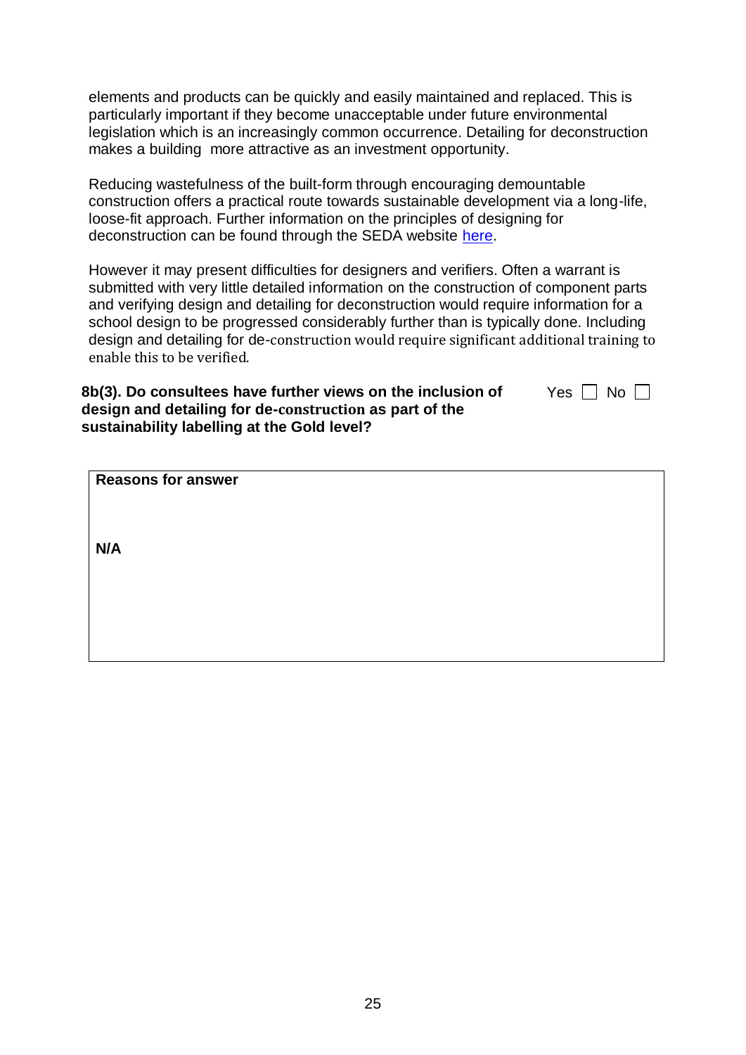elements and products can be quickly and easily maintained and replaced. This is particularly important if they become unacceptable under future environmental legislation which is an increasingly common occurrence. Detailing for deconstruction makes a building more attractive as an investment opportunity.

Reducing wastefulness of the built-form through encouraging demountable construction offers a practical route towards sustainable development via a long-life, loose-fit approach. Further information on the principles of designing for deconstruction can be found through the SEDA website [here.](http://www.seda.uk.net/assets/files/guides/dfd.pdf)

However it may present difficulties for designers and verifiers. Often a warrant is submitted with very little detailed information on the construction of component parts and verifying design and detailing for deconstruction would require information for a school design to be progressed considerably further than is typically done. Including design and detailing for de-construction would require significant additional training to enable this to be verified.

Yes  $\Box$  No  $\Box$ 

| 8b(3). Do consultees have further views on the inclusion of |
|-------------------------------------------------------------|
| design and detailing for de-construction as part of the     |
| sustainability labelling at the Gold level?                 |

|  | <b>Reasons for answer</b> |
|--|---------------------------|
|--|---------------------------|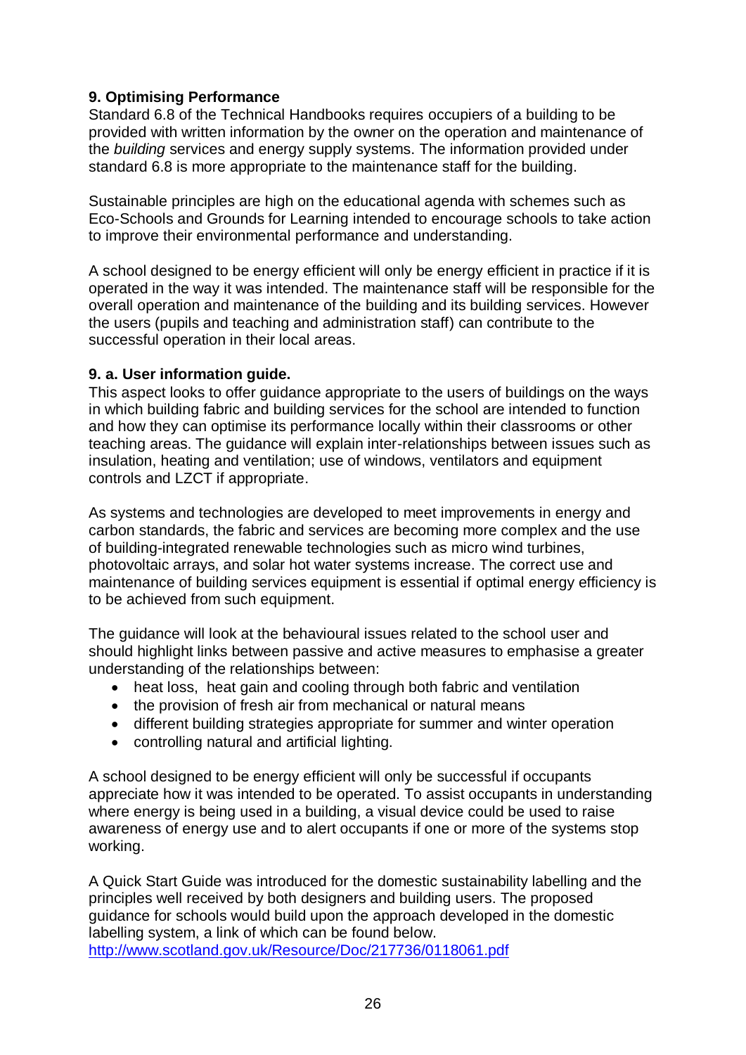# **9. Optimising Performance**

Standard 6.8 of the Technical Handbooks requires occupiers of a building to be provided with written information by the owner on the operation and maintenance of the *building* services and energy supply systems. The information provided under standard 6.8 is more appropriate to the maintenance staff for the building.

Sustainable principles are high on the educational agenda with schemes such as Eco-Schools and Grounds for Learning intended to encourage schools to take action to improve their environmental performance and understanding.

A school designed to be energy efficient will only be energy efficient in practice if it is operated in the way it was intended. The maintenance staff will be responsible for the overall operation and maintenance of the building and its building services. However the users (pupils and teaching and administration staff) can contribute to the successful operation in their local areas.

## **9. a. User information guide.**

This aspect looks to offer guidance appropriate to the users of buildings on the ways in which building fabric and building services for the school are intended to function and how they can optimise its performance locally within their classrooms or other teaching areas. The guidance will explain inter-relationships between issues such as insulation, heating and ventilation; use of windows, ventilators and equipment controls and LZCT if appropriate.

As systems and technologies are developed to meet improvements in energy and carbon standards, the fabric and services are becoming more complex and the use of building-integrated renewable technologies such as micro wind turbines, photovoltaic arrays, and solar hot water systems increase. The correct use and maintenance of building services equipment is essential if optimal energy efficiency is to be achieved from such equipment.

The guidance will look at the behavioural issues related to the school user and should highlight links between passive and active measures to emphasise a greater understanding of the relationships between:

- heat loss, heat gain and cooling through both fabric and ventilation
- the provision of fresh air from mechanical or natural means
- different building strategies appropriate for summer and winter operation
- controlling natural and artificial lighting.

A school designed to be energy efficient will only be successful if occupants appreciate how it was intended to be operated. To assist occupants in understanding where energy is being used in a building, a visual device could be used to raise awareness of energy use and to alert occupants if one or more of the systems stop working.

A Quick Start Guide was introduced for the domestic sustainability labelling and the principles well received by both designers and building users. The proposed guidance for schools would build upon the approach developed in the domestic labelling system, a link of which can be found below. <http://www.scotland.gov.uk/Resource/Doc/217736/0118061.pdf>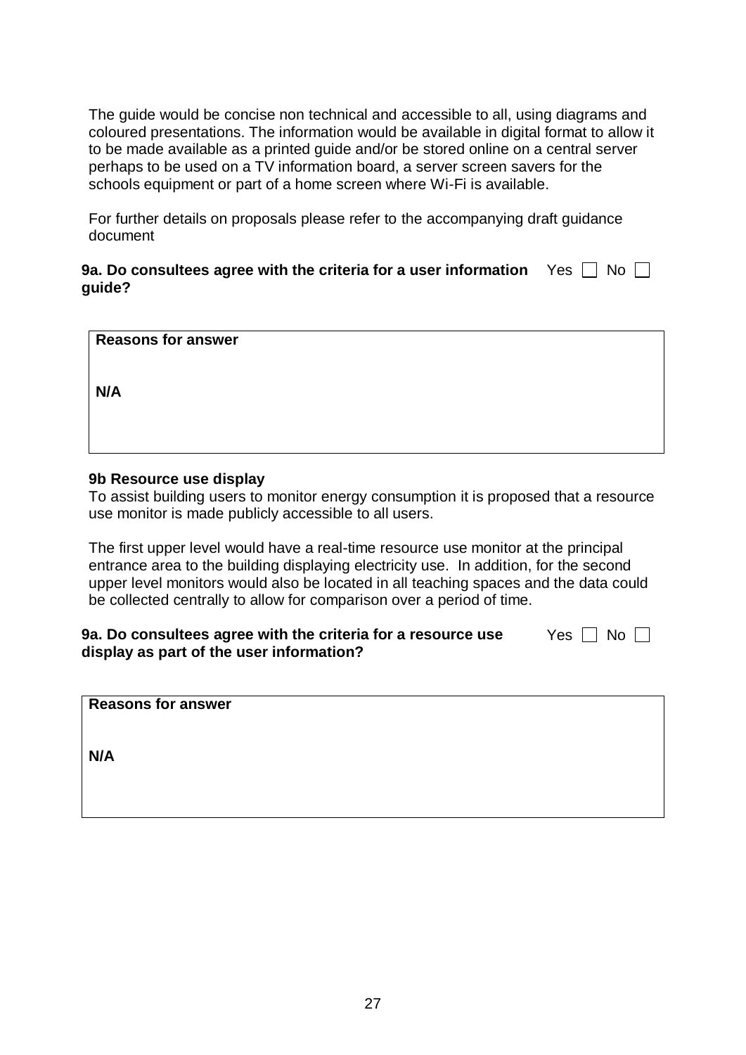The guide would be concise non technical and accessible to all, using diagrams and coloured presentations. The information would be available in digital format to allow it to be made available as a printed guide and/or be stored online on a central server perhaps to be used on a TV information board, a server screen savers for the schools equipment or part of a home screen where Wi-Fi is available.

For further details on proposals please refer to the accompanying draft guidance document

| 9a. Do consultees agree with the criteria for a user information $\quad$ Yes $\Box\,$ No $\Box$ |  |
|-------------------------------------------------------------------------------------------------|--|
| guide?                                                                                          |  |

| <b>Reasons for answer</b> |  |  |
|---------------------------|--|--|
| N/A                       |  |  |
|                           |  |  |

#### **9b Resource use display**

To assist building users to monitor energy consumption it is proposed that a resource use monitor is made publicly accessible to all users.

The first upper level would have a real-time resource use monitor at the principal entrance area to the building displaying electricity use. In addition, for the second upper level monitors would also be located in all teaching spaces and the data could be collected centrally to allow for comparison over a period of time.

#### **9a. Do consultees agree with the criteria for a resource use display as part of the user information?** Yes  $\Box$  No  $\Box$

| <b>Reasons for answer</b> |  |  |
|---------------------------|--|--|
|---------------------------|--|--|